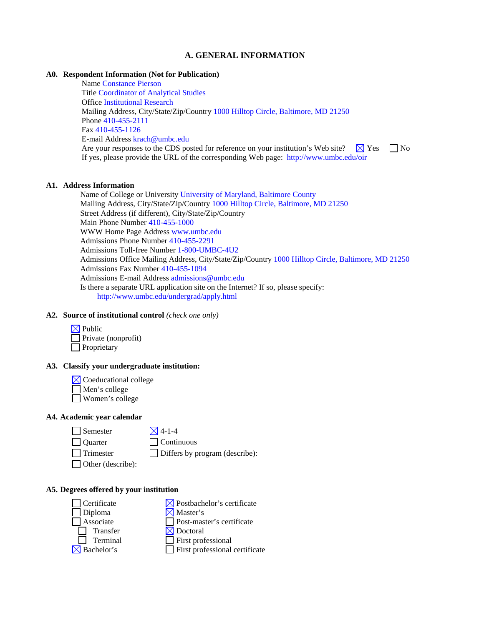## **A. GENERAL INFORMATION**

### **A0. Respondent Information (Not for Publication)**

Name Constance Pierson Title Coordinator of Analytical Studies Office Institutional Research Mailing Address, City/State/Zip/Country 1000 Hilltop Circle, Baltimore, MD 21250 Phone 410-455-2111 Fax 410-455-1126 E-mail Address krach@umbc.edu Are your responses to the CDS posted for reference on your institution's Web site?  $\Box$  Yes  $\Box$  No If yes, please provide the URL of the corresponding Web page: http://www.umbc.edu/oir

#### **A1. Address Information**

Name of College or University University of Maryland, Baltimore County Mailing Address, City/State/Zip/Country 1000 Hilltop Circle, Baltimore, MD 21250 Street Address (if different), City/State/Zip/Country Main Phone Number 410-455-1000 WWW Home Page Address www.umbc.edu Admissions Phone Number 410-455-2291 Admissions Toll-free Number 1-800-UMBC-4U2 Admissions Office Mailing Address, City/State/Zip/Country 1000 Hilltop Circle, Baltimore, MD 21250 Admissions Fax Number 410-455-1094 Admissions E-mail Address admissions@umbc.edu Is there a separate URL application site on the Internet? If so, please specify: http://www.umbc.edu/undergrad/apply.html

## **A2. Source of institutional control** *(check one only)*

| $\boxtimes$ Public  |
|---------------------|
| Private (nonprofit) |
| Proprietary         |

## **A3. Classify your undergraduate institution:**

- $\boxtimes$  Coeducational college
- Men's college Women's college

### **A4. Academic year calendar**

| Semeste |
|---------|
|---------|

er  $\boxtimes$  4-1-4

Quarter Continuous

 $\Box$  Trimester  $\Box$  Differs by program (describe):

Other (describe):

### **A5. Degrees offered by your institution**

| $ $ Certificate        | $\bowtie$ Postbachelor's certificate  |
|------------------------|---------------------------------------|
| $\Box$ Diploma         | $\boxtimes$ Master's                  |
| Associate              | $\Box$ Post-master's certificate      |
| Transfer               | $\boxtimes$ Doctoral                  |
| Terminal               | $\Box$ First professional             |
| $\boxtimes$ Bachelor's | $\Box$ First professional certificate |
|                        |                                       |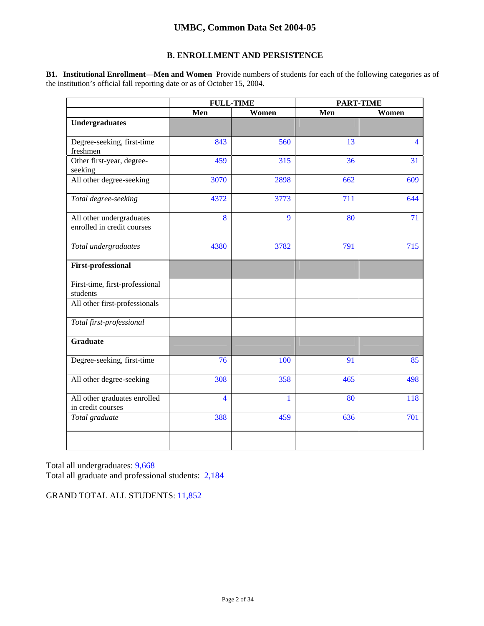## **B. ENROLLMENT AND PERSISTENCE**

**B1. Institutional Enrollment—Men and Women** Provide numbers of students for each of the following categories as of the institution's official fall reporting date or as of October 15, 2004.

|                                                        | <b>FULL-TIME</b>        |              | <b>PART-TIME</b> |                |  |
|--------------------------------------------------------|-------------------------|--------------|------------------|----------------|--|
|                                                        | Men<br>Women            |              | Men              | Women          |  |
| <b>Undergraduates</b>                                  |                         |              |                  |                |  |
| Degree-seeking, first-time<br>freshmen                 | 843                     | 560          | 13               | $\overline{4}$ |  |
| Other first-year, degree-<br>seeking                   | 459                     | 315          | 36               | 31             |  |
| All other degree-seeking                               | 3070                    | 2898         | 662              | 609            |  |
| Total degree-seeking                                   | 4372                    | 3773         | 711              | 644            |  |
| All other undergraduates<br>enrolled in credit courses | 8                       | 9            | 80               | 71             |  |
| Total undergraduates                                   | 4380                    | 3782         | 791              | 715            |  |
| <b>First-professional</b>                              |                         |              |                  |                |  |
| First-time, first-professional<br>students             |                         |              |                  |                |  |
| All other first-professionals                          |                         |              |                  |                |  |
| Total first-professional                               |                         |              |                  |                |  |
| <b>Graduate</b>                                        |                         |              |                  |                |  |
| Degree-seeking, first-time                             | 76                      | 100          | 91               | 85             |  |
| All other degree-seeking                               | 308                     | 358          | 465              | 498            |  |
| All other graduates enrolled<br>in credit courses      | $\overline{\mathbf{4}}$ | $\mathbf{1}$ | 80               | 118            |  |
| Total graduate                                         | 388                     | 459          | 636              | 701            |  |
|                                                        |                         |              |                  |                |  |

Total all undergraduates: 9,668 Total all graduate and professional students: 2,184

GRAND TOTAL ALL STUDENTS: 11,852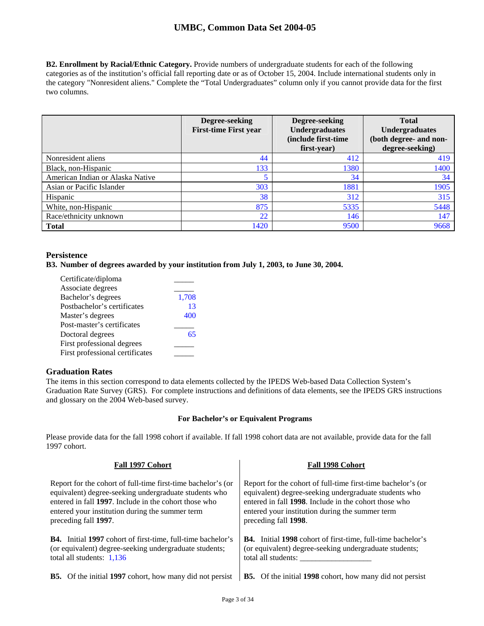**B2. Enrollment by Racial/Ethnic Category.** Provide numbers of undergraduate students for each of the following categories as of the institution's official fall reporting date or as of October 15, 2004. Include international students only in the category "Nonresident aliens." Complete the "Total Undergraduates" column only if you cannot provide data for the first two columns.

|                                  | Degree-seeking<br><b>First-time First year</b> | Degree-seeking<br><b>Undergraduates</b><br>(include first-time<br>first-year) | <b>Total</b><br><b>Undergraduates</b><br>(both degree- and non-<br>degree-seeking) |
|----------------------------------|------------------------------------------------|-------------------------------------------------------------------------------|------------------------------------------------------------------------------------|
| Nonresident aliens               | 44                                             | 412                                                                           | 419                                                                                |
| Black, non-Hispanic              | 133                                            | 1380                                                                          | 1400                                                                               |
| American Indian or Alaska Native |                                                | 34                                                                            | 34                                                                                 |
| Asian or Pacific Islander        | 303                                            | 1881                                                                          | 1905                                                                               |
| Hispanic                         | 38                                             | 312                                                                           | 315                                                                                |
| White, non-Hispanic              | 875                                            | 5335                                                                          | 5448                                                                               |
| Race/ethnicity unknown           | 22                                             | 146                                                                           | 147                                                                                |
| <b>Total</b>                     | 1420                                           | 9500                                                                          | 9668                                                                               |

## **Persistence**

**B3. Number of degrees awarded by your institution from July 1, 2003, to June 30, 2004.** 

| Certificate/diploma             |       |
|---------------------------------|-------|
| Associate degrees               |       |
| Bachelor's degrees              | 1,708 |
| Postbachelor's certificates     | 13    |
| Master's degrees                | 400   |
| Post-master's certificates      |       |
| Doctoral degrees                | 65    |
| First professional degrees      |       |
| First professional certificates |       |
|                                 |       |

## **Graduation Rates**

The items in this section correspond to data elements collected by the IPEDS Web-based Data Collection System's Graduation Rate Survey (GRS). For complete instructions and definitions of data elements, see the IPEDS GRS instructions and glossary on the 2004 Web-based survey.

### **For Bachelor's or Equivalent Programs**

Please provide data for the fall 1998 cohort if available. If fall 1998 cohort data are not available, provide data for the fall 1997 cohort.

| Fall 1997 Cohort                                                   | Fall 1998 Cohort                                                   |
|--------------------------------------------------------------------|--------------------------------------------------------------------|
| Report for the cohort of full-time first-time bachelor's (or       | Report for the cohort of full-time first-time bachelor's (or       |
| equivalent) degree-seeking undergraduate students who              | equivalent) degree-seeking undergraduate students who              |
| entered in fall 1997. Include in the cohort those who              | entered in fall 1998. Include in the cohort those who              |
| entered your institution during the summer term                    | entered your institution during the summer term                    |
| preceding fall 1997.                                               | preceding fall 1998.                                               |
| <b>B4.</b> Initial 1997 cohort of first-time, full-time bachelor's | <b>B4.</b> Initial 1998 cohort of first-time, full-time bachelor's |
| (or equivalent) degree-seeking undergraduate students;             | (or equivalent) degree-seeking undergraduate students;             |
| total all students: $1,136$                                        | total all students:                                                |
| <b>B5.</b> Of the initial 1997 cohort, how many did not persist    | <b>B5.</b> Of the initial 1998 cohort, how many did not persist    |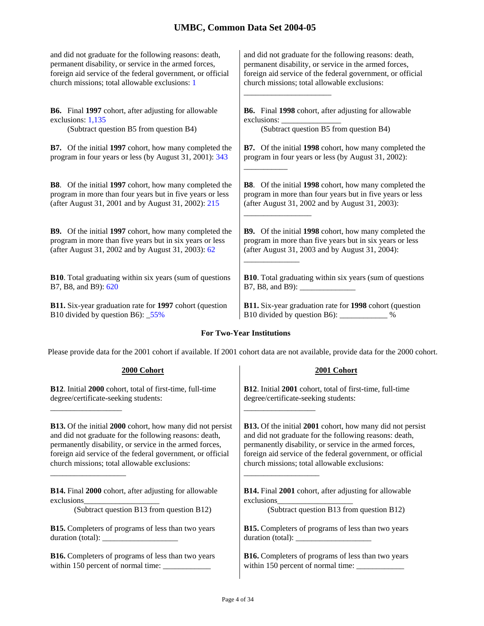and did not graduate for the following reasons: death, permanent disability, or service in the armed forces, foreign aid service of the federal government, or official church missions; total allowable exclusions: 1

**B6.** Final **1997** cohort, after adjusting for allowable exclusions: 1,135

(Subtract question B5 from question B4) (Subtract question B5 from question B4)

**B7.** Of the initial **1997** cohort, how many completed the program in four years or less (by August 31, 2001): 343

**B8**. Of the initial **1997** cohort, how many completed the program in more than four years but in five years or less (after August 31, 2001 and by August 31, 2002): 215

**B9.** Of the initial **1997** cohort, how many completed the program in more than five years but in six years or less (after August 31, 2002 and by August 31, 2003): 62

**B10**. Total graduating within six years (sum of questions B7, B8, and B9): 620

**B11.** Six-year graduation rate for **1997** cohort (question B10 divided by question B6): \_55%

and did not graduate for the following reasons: death, permanent disability, or service in the armed forces, foreign aid service of the federal government, or official church missions; total allowable exclusions:

**B6.** Final **1998** cohort, after adjusting for allowable exclusions:

\_\_\_\_\_\_\_\_\_\_\_\_\_\_\_\_\_\_\_\_\_\_

\_\_\_\_\_\_\_\_\_\_\_\_\_\_\_\_\_

\_\_\_\_\_\_\_\_\_\_\_\_\_\_

**B7.** Of the initial **1998** cohort, how many completed the program in four years or less (by August 31, 2002): \_\_\_\_\_\_\_\_\_\_\_

**B8**. Of the initial **1998** cohort, how many completed the program in more than four years but in five years or less (after August 31, 2002 and by August 31, 2003):

**B9.** Of the initial **1998** cohort, how many completed the program in more than five years but in six years or less (after August 31, 2003 and by August 31, 2004):

**B10**. Total graduating within six years (sum of questions B7, B8, and B9):

**B11.** Six-year graduation rate for **1998** cohort (question B10 divided by question B6): \_\_\_\_\_\_\_\_\_\_\_\_ %

### **For Two-Year Institutions**

Please provide data for the 2001 cohort if available. If 2001 cohort data are not available, provide data for the 2000 cohort.

**2000 Cohort 2001 Cohort**

| <b>B12.</b> Initial 2000 cohort, total of first-time, full-time  | <b>B12.</b> Initial 2001 cohort, total of first-time, full-time  |
|------------------------------------------------------------------|------------------------------------------------------------------|
| degree/certificate-seeking students:                             | degree/certificate-seeking students:                             |
| <b>B13.</b> Of the initial 2000 cohort, how many did not persist | <b>B13.</b> Of the initial 2001 cohort, how many did not persist |
| and did not graduate for the following reasons: death,           | and did not graduate for the following reasons: death,           |
| permanently disability, or service in the armed forces,          | permanently disability, or service in the armed forces,          |
| foreign aid service of the federal government, or official       | foreign aid service of the federal government, or official       |
| church missions; total allowable exclusions:                     | church missions; total allowable exclusions:                     |
| <b>B14.</b> Final 2000 cohort, after adjusting for allowable     | <b>B14.</b> Final 2001 cohort, after adjusting for allowable     |
| $exclusions$ $\qquad \qquad$                                     | exclusions                                                       |
| (Subtract question B13 from question B12)                        | (Subtract question B13 from question B12)                        |
| <b>B15.</b> Completers of programs of less than two years        | <b>B15.</b> Completers of programs of less than two years        |
|                                                                  |                                                                  |
| <b>B16.</b> Completers of programs of less than two years        | <b>B16.</b> Completers of programs of less than two years        |
|                                                                  |                                                                  |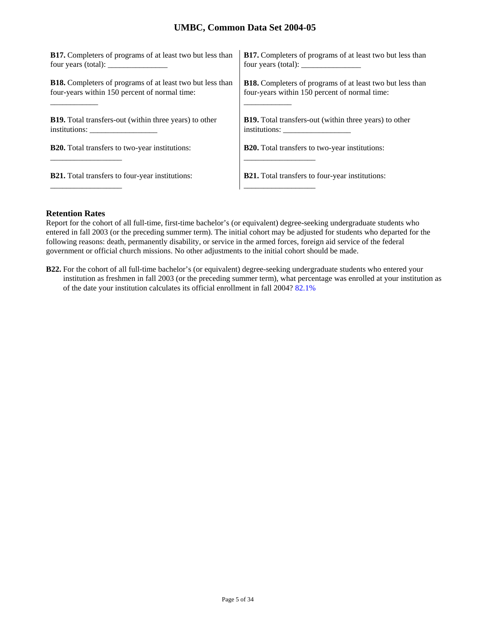| <b>B17.</b> Completers of programs of at least two but less than | <b>B17.</b> Completers of programs of at least two but less than |
|------------------------------------------------------------------|------------------------------------------------------------------|
| four years (total): $\frac{1}{2}$                                |                                                                  |
| <b>B18.</b> Completers of programs of at least two but less than | <b>B18.</b> Completers of programs of at least two but less than |
| four-years within 150 percent of normal time:                    | four-years within 150 percent of normal time:                    |
| <b>B19.</b> Total transfers-out (within three years) to other    | <b>B19.</b> Total transfers-out (within three years) to other    |
| institutions:                                                    |                                                                  |
| <b>B20.</b> Total transfers to two-year institutions:            | <b>B20.</b> Total transfers to two-year institutions:            |
| <b>B21.</b> Total transfers to four-year institutions:           | <b>B21.</b> Total transfers to four-year institutions:           |

## **Retention Rates**

Report for the cohort of all full-time, first-time bachelor's (or equivalent) degree-seeking undergraduate students who entered in fall 2003 (or the preceding summer term). The initial cohort may be adjusted for students who departed for the following reasons: death, permanently disability, or service in the armed forces, foreign aid service of the federal government or official church missions. No other adjustments to the initial cohort should be made.

**B22.** For the cohort of all full-time bachelor's (or equivalent) degree-seeking undergraduate students who entered your institution as freshmen in fall 2003 (or the preceding summer term), what percentage was enrolled at your institution as of the date your institution calculates its official enrollment in fall 2004? 82.1%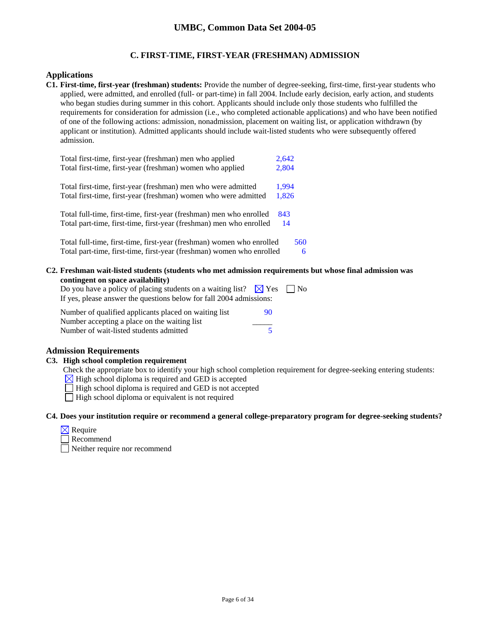## **C. FIRST-TIME, FIRST-YEAR (FRESHMAN) ADMISSION**

### **Applications**

**C1. First-time, first-year (freshman) students:** Provide the number of degree-seeking, first-time, first-year students who applied, were admitted, and enrolled (full- or part-time) in fall 2004. Include early decision, early action, and students who began studies during summer in this cohort. Applicants should include only those students who fulfilled the requirements for consideration for admission (i.e., who completed actionable applications) and who have been notified of one of the following actions: admission, nonadmission, placement on waiting list, or application withdrawn (by applicant or institution). Admitted applicants should include wait-listed students who were subsequently offered admission.

| Total first-time, first-year (freshman) men who applied               | 2,642 |  |
|-----------------------------------------------------------------------|-------|--|
| Total first-time, first-year (freshman) women who applied             | 2,804 |  |
| Total first-time, first-year (freshman) men who were admitted         | 1,994 |  |
| Total first-time, first-year (freshman) women who were admitted       | 1,826 |  |
| Total full-time, first-time, first-year (freshman) men who enrolled   | 843   |  |
| Total part-time, first-time, first-year (freshman) men who enrolled   | 14    |  |
| Total full-time, first-time, first-year (freshman) women who enrolled | 560   |  |
| Total part-time, first-time, first-year (freshman) women who enrolled | 6     |  |

**C2. Freshman wait-listed students (students who met admission requirements but whose final admission was contingent on space availability)**

| Do you have a policy of placing students on a waiting list? $\boxtimes$ Yes $\parallel$ No |    |  |
|--------------------------------------------------------------------------------------------|----|--|
| If yes, please answer the questions below for fall 2004 admissions:                        |    |  |
| Number of qualified applicants placed on waiting list                                      | 90 |  |

| indiffused of qualified applicaties placed on waiting list | -717 |
|------------------------------------------------------------|------|
| Number accepting a place on the waiting list               |      |
| Number of wait-listed students admitted                    |      |

### **Admission Requirements**

### **C3. High school completion requirement**

Check the appropriate box to identify your high school completion requirement for degree-seeking entering students:

 $\boxtimes$  High school diploma is required and GED is accepted

 $\Box$  High school diploma is required and GED is not accepted

 $\Box$  High school diploma or equivalent is not required

### **C4. Does your institution require or recommend a general college-preparatory program for degree-seeking students?**

| Regunte |  |
|---------|--|
|---------|--|

Recommend

Neither require nor recommend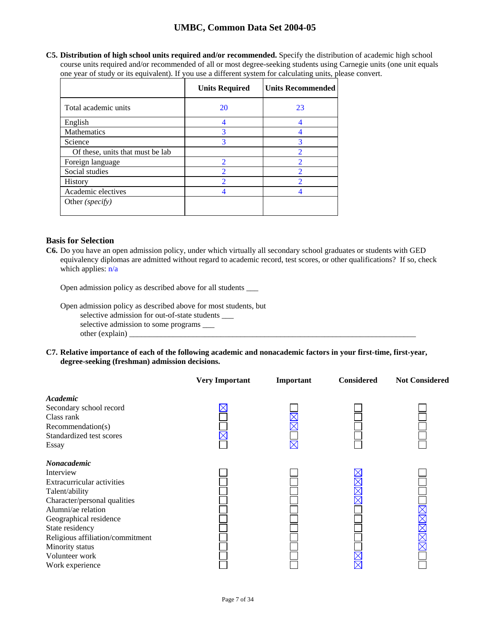**C5. Distribution of high school units required and/or recommended.** Specify the distribution of academic high school course units required and/or recommended of all or most degree-seeking students using Carnegie units (one unit equals one year of study or its equivalent). If you use a different system for calculating units, please convert.

|                                  | <b>Units Required</b> | <b>Units Recommended</b> |
|----------------------------------|-----------------------|--------------------------|
| Total academic units             | 20                    | 23                       |
| English                          |                       | 4                        |
| Mathematics                      | 3                     |                          |
| Science                          | 3                     | 3                        |
| Of these, units that must be lab |                       | 2                        |
| Foreign language                 | 2                     | $\overline{2}$           |
| Social studies                   | $\overline{2}$        | $\overline{\mathcal{L}}$ |
| <b>History</b>                   | $\overline{2}$        | $\overline{\mathcal{L}}$ |
| Academic electives               |                       |                          |
| Other (specify)                  |                       |                          |

## **Basis for Selection**

**C6.** Do you have an open admission policy, under which virtually all secondary school graduates or students with GED equivalency diplomas are admitted without regard to academic record, test scores, or other qualifications? If so, check which applies:  $n/a$ 

Open admission policy as described above for all students \_\_\_

Open admission policy as described above for most students, but selective admission for out-of-state students \_\_\_ selective admission to some programs \_\_\_ other (explain)  $\Box$ 

**C7. Relative importance of each of the following academic and nonacademic factors in your first-time, first-year, degree-seeking (freshman) admission decisions.** 

|                                                                                                                                                                                                                                                                                | <b>Very Important</b> | Important | <b>Considered</b> | <b>Not Considered</b> |
|--------------------------------------------------------------------------------------------------------------------------------------------------------------------------------------------------------------------------------------------------------------------------------|-----------------------|-----------|-------------------|-----------------------|
| Academic<br>Secondary school record<br>Class rank<br>Recommendation(s)<br>Standardized test scores<br>Essay                                                                                                                                                                    |                       |           |                   |                       |
| <b>Nonacademic</b><br>Interview<br>Extracurricular activities<br>Talent/ability<br>Character/personal qualities<br>Alumni/ae relation<br>Geographical residence<br>State residency<br>Religious affiliation/commitment<br>Minority status<br>Volunteer work<br>Work experience |                       |           |                   | MMMM                  |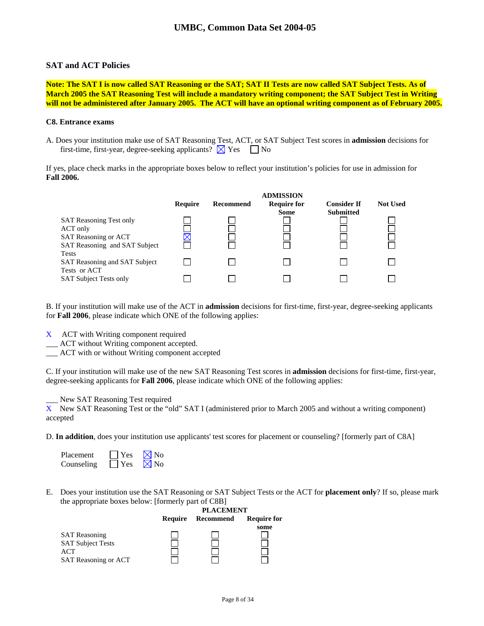### **SAT and ACT Policies**

**Note: The SAT I is now called SAT Reasoning or the SAT; SAT II Tests are now called SAT Subject Tests. As of March 2005 the SAT Reasoning Test will include a mandatory writing component; the SAT Subject Test in Writing will not be administered after January 2005. The ACT will have an optional writing component as of February 2005.** 

### **C8. Entrance exams**

A. Does your institution make use of SAT Reasoning Test, ACT, or SAT Subject Test scores in **admission** decisions for first-time, first-year, degree-seeking applicants?  $\boxtimes$  Yes  $\Box$  No

If yes, place check marks in the appropriate boxes below to reflect your institution's policies for use in admission for **Fall 2006.** 

|                                |         |           | <b>ADMISSION</b>   |                    |                 |
|--------------------------------|---------|-----------|--------------------|--------------------|-----------------|
|                                | Require | Recommend | <b>Require for</b> | <b>Consider If</b> | <b>Not Used</b> |
|                                |         |           | <b>Some</b>        | <b>Submitted</b>   |                 |
| <b>SAT Reasoning Test only</b> |         |           |                    |                    |                 |
| ACT only                       |         |           |                    |                    |                 |
| <b>SAT Reasoning or ACT</b>    |         |           |                    |                    |                 |
| SAT Reasoning and SAT Subject  |         |           |                    |                    |                 |
| <b>Tests</b>                   |         |           |                    |                    |                 |
| SAT Reasoning and SAT Subject  |         |           |                    |                    |                 |
| Tests or ACT                   |         |           |                    |                    |                 |
| <b>SAT Subject Tests only</b>  |         |           |                    |                    |                 |

B. If your institution will make use of the ACT in **admission** decisions for first-time, first-year, degree-seeking applicants for **Fall 2006**, please indicate which ONE of the following applies:

- X ACT with Writing component required
- \_\_\_ ACT without Writing component accepted.
- \_\_\_ ACT with or without Writing component accepted

C. If your institution will make use of the new SAT Reasoning Test scores in **admission** decisions for first-time, first-year, degree-seeking applicants for **Fall 2006**, please indicate which ONE of the following applies:

\_\_\_ New SAT Reasoning Test required

X New SAT Reasoning Test or the "old" SAT I (administered prior to March 2005 and without a writing component) accepted

D. **In addition**, does your institution use applicants' test scores for placement or counseling? [formerly part of C8A]

| Placement  | $\Box$ Yes | $\nabla$ No    |
|------------|------------|----------------|
| Counseling | $ $ Yes    | $\boxtimes$ No |

E. Does your institution use the SAT Reasoning or SAT Subject Tests or the ACT for **placement only**? If so, please mark the appropriate boxes below: [formerly part of C8B]

|                                                                                 | <b>PLACEMENT</b> |           |                    |
|---------------------------------------------------------------------------------|------------------|-----------|--------------------|
|                                                                                 | Require          | Recommend | <b>Require for</b> |
| <b>SAT</b> Reasoning<br><b>SAT Subject Tests</b><br>ACT<br>SAT Reasoning or ACT |                  |           | some               |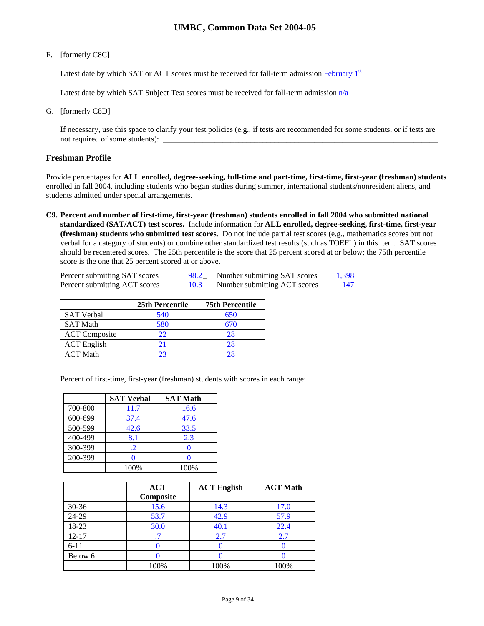### F. [formerly C8C]

Latest date by which SAT or ACT scores must be received for fall-term admission February  $1<sup>st</sup>$ 

Latest date by which SAT Subject Test scores must be received for fall-term admission  $n/a$ 

G. [formerly C8D]

If necessary, use this space to clarify your test policies (e.g., if tests are recommended for some students, or if tests are not required of some students):  $\qquad$ 

### **Freshman Profile**

Provide percentages for **ALL enrolled, degree-seeking, full-time and part-time, first-time, first-year (freshman) students**  enrolled in fall 2004, including students who began studies during summer, international students/nonresident aliens, and students admitted under special arrangements.

**C9. Percent and number of first-time, first-year (freshman) students enrolled in fall 2004 who submitted national standardized (SAT/ACT) test scores.** Include information for **ALL enrolled, degree-seeking, first-time, first-year (freshman) students who submitted test scores**. Do not include partial test scores (e.g., mathematics scores but not verbal for a category of students) or combine other standardized test results (such as TOEFL) in this item. SAT scores should be recentered scores. The 25th percentile is the score that 25 percent scored at or below; the 75th percentile score is the one that 25 percent scored at or above.

| Percent submitting SAT scores | 98.2 | Number submitting SAT scores | 1.398 |
|-------------------------------|------|------------------------------|-------|
| Percent submitting ACT scores | 10.3 | Number submitting ACT scores | 147   |

|                      | 25th Percentile | <b>75th Percentile</b> |
|----------------------|-----------------|------------------------|
| <b>SAT Verbal</b>    | 540             | 650                    |
| <b>SAT Math</b>      | 580             | 670                    |
| <b>ACT</b> Composite | 22              | 28                     |
| <b>ACT</b> English   | 21              | 28                     |
| ACT Math             |                 | 28                     |

Percent of first-time, first-year (freshman) students with scores in each range:

|         | <b>SAT Verbal</b> | <b>SAT Math</b> |
|---------|-------------------|-----------------|
| 700-800 | 11.7              | 16.6            |
| 600-699 | 37.4              | 47.6            |
| 500-599 | 42.6              | 33.5            |
| 400-499 | 8.1               | 2.3             |
| 300-399 | $\cdot$ .2        | O               |
| 200-399 |                   |                 |
|         | 100%              | 100%            |

|           | <b>ACT</b><br>Composite | <b>ACT English</b> | <b>ACT Math</b> |
|-----------|-------------------------|--------------------|-----------------|
| $30 - 36$ | 15.6                    | 14.3               | 17.0            |
| 24-29     | 53.7                    | 42.9               | 57.9            |
| 18-23     | 30.0                    | 40.1               | 22.4            |
| $12 - 17$ |                         | 2.7                | 2.7             |
| $6 - 11$  |                         |                    |                 |
| Below 6   |                         |                    |                 |
|           | 100%                    | 100%               | 100%            |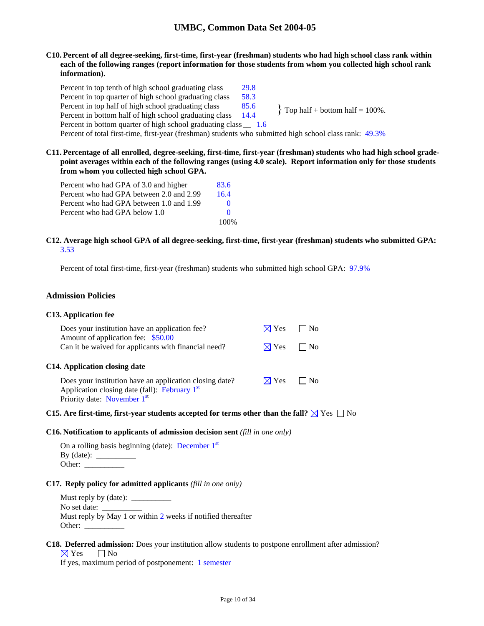**C10. Percent of all degree-seeking, first-time, first-year (freshman) students who had high school class rank within each of the following ranges (report information for those students from whom you collected high school rank information).** 

Percent in top tenth of high school graduating class 29.8 Percent in top quarter of high school graduating class 58.3 Percent in top half of high school graduating class  $85.6$  Percent in bottom half = 100%.<br>Percent in bottom half of high school graduating class  $14.4$  Prop half + bottom half = 100%. Percent in bottom half of high school graduating class Percent in bottom quarter of high school graduating class \_\_ 1.6 Percent of total first-time, first-year (freshman) students who submitted high school class rank: 49.3%

**C11. Percentage of all enrolled, degree-seeking, first-time, first-year (freshman) students who had high school gradepoint averages within each of the following ranges (using 4.0 scale). Report information only for those students from whom you collected high school GPA.** 

| Percent who had GPA of 3.0 and higher    | 83.6         |
|------------------------------------------|--------------|
| Percent who had GPA between 2.0 and 2.99 | 16.4         |
| Percent who had GPA between 1.0 and 1.99 | $\mathbf{0}$ |
| Percent who had GPA below 1.0            | $\Omega$     |
|                                          | 100%         |

### **C12. Average high school GPA of all degree-seeking, first-time, first-year (freshman) students who submitted GPA:** 3.53

Percent of total first-time, first-year (freshman) students who submitted high school GPA: 97.9%

### **Admission Policies**

#### **C13. Application fee**

| Does your institution have an application fee?                                                                       | $\boxtimes$ Yes           | $\Box$ No |
|----------------------------------------------------------------------------------------------------------------------|---------------------------|-----------|
| Amount of application fee: \$50.00<br>Can it be waived for applicants with financial need?                           | $\boxtimes$ Yes $\Box$ No |           |
| C14. Application closing date                                                                                        |                           |           |
| Does your institution have an application closing date?<br>Application closing date (fall): February 1 <sup>st</sup> | $\boxtimes$ Yes           | $\Box$ No |
| Priority date: November 1 <sup>st</sup>                                                                              |                           |           |

### **C15.** Are first-time, first-year students accepted for terms other than the fall?  $\boxtimes$  Yes  $\Box$  No

#### **C16. Notification to applicants of admission decision sent** *(fill in one only)*

| On a rolling basis beginning (date): December $1st$ |  |
|-----------------------------------------------------|--|
| $By$ (date):                                        |  |
| Other:                                              |  |

#### **C17. Reply policy for admitted applicants** *(fill in one only)*

Must reply by (date):  $\_\_$ No set date: \_ Must reply by May 1 or within 2 weeks if notified thereafter Other: \_\_\_\_\_\_\_\_\_\_

### **C18. Deferred admission:** Does your institution allow students to postpone enrollment after admission?

 $\boxtimes$  Yes  $\Box$  No

If yes, maximum period of postponement: 1 semester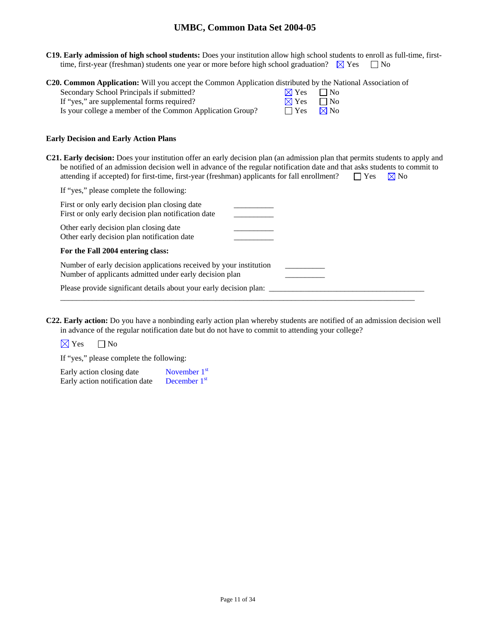**C19. Early admission of high school students:** Does your institution allow high school students to enroll as full-time, firsttime, first-year (freshman) students one year or more before high school graduation?  $\boxtimes$  Yes  $\Box$  No

**C20. Common Application:** Will you accept the Common Application distributed by the National Association of

| Secondary School Principals if submitted?                 | $\boxtimes$ Yes $\Box$ No |  |
|-----------------------------------------------------------|---------------------------|--|
| If "yes," are supplemental forms required?                | $\boxtimes$ Yes $\Box$ No |  |
| Is your college a member of the Common Application Group? | $\Box$ Yes $\Box$ No      |  |

### **Early Decision and Early Action Plans**

**C21. Early decision:** Does your institution offer an early decision plan (an admission plan that permits students to apply and be notified of an admission decision well in advance of the regular notification date and that asks students to commit to attending if accepted) for first-time, first-year (freshman) applicants for fall enrollment?  $\square$  Yes  $\boxtimes$  No

| If "yes," please complete the following:                                                                                      |  |
|-------------------------------------------------------------------------------------------------------------------------------|--|
| First or only early decision plan closing date<br>First or only early decision plan notification date                         |  |
| Other early decision plan closing date<br>Other early decision plan notification date                                         |  |
| For the Fall 2004 entering class:                                                                                             |  |
| Number of early decision applications received by your institution<br>Number of applicants admitted under early decision plan |  |
| Please provide significant details about your early decision plan:                                                            |  |

**C22. Early action:** Do you have a nonbinding early action plan whereby students are notified of an admission decision well in advance of the regular notification date but do not have to commit to attending your college?

 $\boxtimes$  Yes  $\Box$  No

If "yes," please complete the following:

Early action closing date  $\blacksquare$  November 1st Early action notification date December 1<sup>st</sup>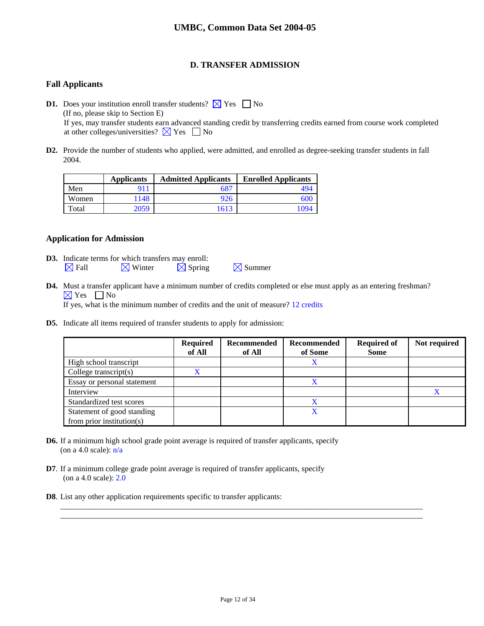## **D. TRANSFER ADMISSION**

### **Fall Applicants**

**D1.** Does your institution enroll transfer students?  $\boxtimes$  Yes  $\Box$  No (If no, please skip to Section E) If yes, may transfer students earn advanced standing credit by transferring credits earned from course work completed at other colleges/universities?  $\times$  Yes  $\Box$  No

**D2.** Provide the number of students who applied, were admitted, and enrolled as degree-seeking transfer students in fall 2004.

|       | <b>Applicants</b> | <b>Admitted Applicants</b> | <b>Enrolled Applicants</b> |
|-------|-------------------|----------------------------|----------------------------|
| Men   |                   | 687                        | 494                        |
| Women | 1148              | 926                        | 600                        |
| Total | 2059              | 1613                       | 1094                       |

### **Application for Admission**

- **D3.** Indicate terms for which transfers may enroll:  $\boxtimes$  Fall  $\boxtimes$  Winter  $\boxtimes$  Spring  $\boxtimes$  Summer
- **D4.** Must a transfer applicant have a minimum number of credits completed or else must apply as an entering freshman?  $\boxtimes$  Yes  $\Box$  No If yes, what is the minimum number of credits and the unit of measure? 12 credits
- **D5.** Indicate all items required of transfer students to apply for admission:

|                                                             | <b>Required</b><br>of All | Recommended<br>of All | Recommended<br>of Some | <b>Required of</b><br><b>Some</b> | Not required |
|-------------------------------------------------------------|---------------------------|-----------------------|------------------------|-----------------------------------|--------------|
| High school transcript                                      |                           |                       | X                      |                                   |              |
| College transcript $(s)$                                    | X                         |                       |                        |                                   |              |
| Essay or personal statement                                 |                           |                       |                        |                                   |              |
| Interview                                                   |                           |                       |                        |                                   |              |
| Standardized test scores                                    |                           |                       |                        |                                   |              |
| Statement of good standing<br>from prior institution( $s$ ) |                           |                       | X                      |                                   |              |

- **D6.** If a minimum high school grade point average is required of transfer applicants, specify (on a 4.0 scale):  $n/a$
- **D7**. If a minimum college grade point average is required of transfer applicants, specify (on a 4.0 scale): 2.0
- **D8**. List any other application requirements specific to transfer applicants:

\_\_\_\_\_\_\_\_\_\_\_\_\_\_\_\_\_\_\_\_\_\_\_\_\_\_\_\_\_\_\_\_\_\_\_\_\_\_\_\_\_\_\_\_\_\_\_\_\_\_\_\_\_\_\_\_\_\_\_\_\_\_\_\_\_\_\_\_\_\_\_\_\_\_\_\_\_\_\_\_\_\_\_\_\_\_\_\_\_\_\_ \_\_\_\_\_\_\_\_\_\_\_\_\_\_\_\_\_\_\_\_\_\_\_\_\_\_\_\_\_\_\_\_\_\_\_\_\_\_\_\_\_\_\_\_\_\_\_\_\_\_\_\_\_\_\_\_\_\_\_\_\_\_\_\_\_\_\_\_\_\_\_\_\_\_\_\_\_\_\_\_\_\_\_\_\_\_\_\_\_\_\_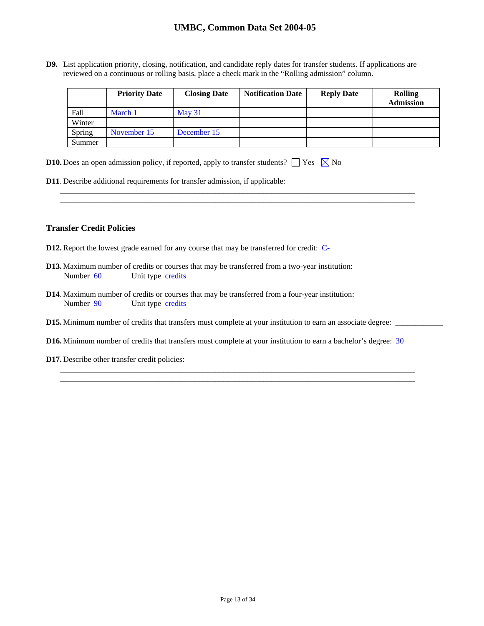**D9.** List application priority, closing, notification, and candidate reply dates for transfer students. If applications are reviewed on a continuous or rolling basis, place a check mark in the "Rolling admission" column.

|        | <b>Priority Date</b> | <b>Closing Date</b> | <b>Notification Date</b> | <b>Reply Date</b> | <b>Rolling</b><br><b>Admission</b> |
|--------|----------------------|---------------------|--------------------------|-------------------|------------------------------------|
| Fall   | March 1              | $\text{Mav } 31$    |                          |                   |                                    |
| Winter |                      |                     |                          |                   |                                    |
| Spring | November 15          | December 15         |                          |                   |                                    |
| Summer |                      |                     |                          |                   |                                    |

\_\_\_\_\_\_\_\_\_\_\_\_\_\_\_\_\_\_\_\_\_\_\_\_\_\_\_\_\_\_\_\_\_\_\_\_\_\_\_\_\_\_\_\_\_\_\_\_\_\_\_\_\_\_\_\_\_\_\_\_\_\_\_\_\_\_\_\_\_\_\_\_\_\_\_\_\_\_\_\_\_\_\_\_\_\_\_\_\_ \_\_\_\_\_\_\_\_\_\_\_\_\_\_\_\_\_\_\_\_\_\_\_\_\_\_\_\_\_\_\_\_\_\_\_\_\_\_\_\_\_\_\_\_\_\_\_\_\_\_\_\_\_\_\_\_\_\_\_\_\_\_\_\_\_\_\_\_\_\_\_\_\_\_\_\_\_\_\_\_\_\_\_\_\_\_\_\_\_

|  |  |  |  | <b>D10.</b> Does an open admission policy, if reported, apply to transfer students? $\Box$ Yes $\boxtimes$ No |  |  |  |
|--|--|--|--|---------------------------------------------------------------------------------------------------------------|--|--|--|
|--|--|--|--|---------------------------------------------------------------------------------------------------------------|--|--|--|

**D11**. Describe additional requirements for transfer admission, if applicable:

### **Transfer Credit Policies**

- **D12.** Report the lowest grade earned for any course that may be transferred for credit: C-
- **D13.** Maximum number of credits or courses that may be transferred from a two-year institution: Number 60 Unit type credits
- **D14**. Maximum number of credits or courses that may be transferred from a four-year institution: Number 90 Unit type credits
- **D15.** Minimum number of credits that transfers must complete at your institution to earn an associate degree: \_\_\_\_\_\_\_\_\_\_\_\_
- **D16.** Minimum number of credits that transfers must complete at your institution to earn a bachelor's degree: 30

\_\_\_\_\_\_\_\_\_\_\_\_\_\_\_\_\_\_\_\_\_\_\_\_\_\_\_\_\_\_\_\_\_\_\_\_\_\_\_\_\_\_\_\_\_\_\_\_\_\_\_\_\_\_\_\_\_\_\_\_\_\_\_\_\_\_\_\_\_\_\_\_\_\_\_\_\_\_\_\_\_\_\_\_\_\_\_\_\_ \_\_\_\_\_\_\_\_\_\_\_\_\_\_\_\_\_\_\_\_\_\_\_\_\_\_\_\_\_\_\_\_\_\_\_\_\_\_\_\_\_\_\_\_\_\_\_\_\_\_\_\_\_\_\_\_\_\_\_\_\_\_\_\_\_\_\_\_\_\_\_\_\_\_\_\_\_\_\_\_\_\_\_\_\_\_\_\_\_

**D17.** Describe other transfer credit policies: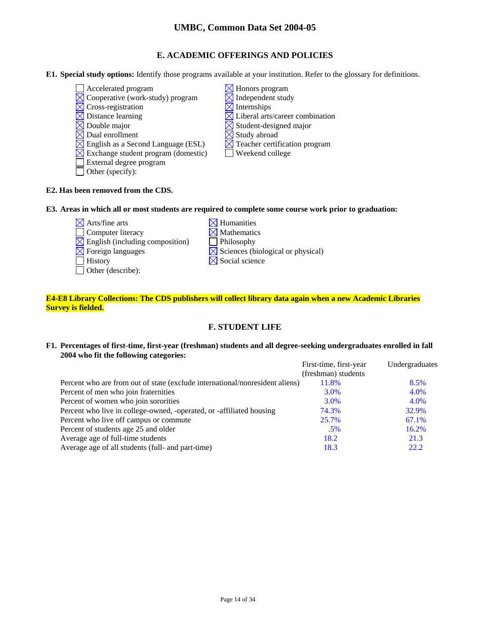## **E. ACADEMIC OFFERINGS AND POLICIES**

- **E1. Special study options:** Identify those programs available at your institution. Refer to the glossary for definitions.
	- $\Box$  Accelerated program  $\boxtimes$  Honors program
	- $\boxtimes$  Cooperative (work-study) program  $\boxtimes$  Independent study
	- $\boxtimes$  Cross-registration  $\boxtimes$  Internships
	-
	- $\boxtimes$  Double major  $\boxtimes$  Student-designed major
	- $\boxtimes$  Dual enrollment  $\boxtimes$  Study abroad
	- $\boxtimes$  English as a Second Language (ESL)  $\boxtimes$  Teacher certification program
	- $\boxtimes$  Exchange student program (domestic)  $\Box$  Weekend college
	- External degree program
	- Other (specify):
- 
- 
- 
- $\boxtimes$  Distance learning  $\boxtimes$  Liberal arts/career combination
	-
	-
	-
	-

### **E2. Has been removed from the CDS.**

### **E3. Areas in which all or most students are required to complete some course work prior to graduation:**

- $\times$  Arts/fine arts  $\times$  Humanities
- $\Box$  Computer literacy  $\boxtimes$  Mathematics
- $\boxtimes$  English (including composition)  $\Box$  Philosophy
- 
- 
- Other (describe):
- $\boxtimes$  Foreign languages  $\boxtimes$  Sciences (biological or physical)  $\Box$  History  $\Box$  Social science

### **E4-E8 Library Collections: The CDS publishers will collect library data again when a new Academic Libraries Survey is fielded.**

# **F. STUDENT LIFE**

### **F1. Percentages of first-time, first-year (freshman) students and all degree-seeking undergraduates enrolled in fall 2004 who fit the following categories:**

|                                                                              | First-time, first-year | Undergraduates |
|------------------------------------------------------------------------------|------------------------|----------------|
|                                                                              | (freshman) students    |                |
| Percent who are from out of state (exclude international/nonresident aliens) | 11.8%                  | 8.5%           |
| Percent of men who join fraternities                                         | 3.0%                   | 4.0%           |
| Percent of women who join sororities                                         | 3.0%                   | 4.0%           |
| Percent who live in college-owned, -operated, or -affiliated housing         | 74.3%                  | 32.9%          |
| Percent who live off campus or commute                                       | 25.7%                  | 67.1%          |
| Percent of students age 25 and older                                         | $.5\%$                 | 16.2%          |
| Average age of full-time students                                            | 18.2                   | 21.3           |
| Average age of all students (full- and part-time)                            | 18.3                   | 22.2           |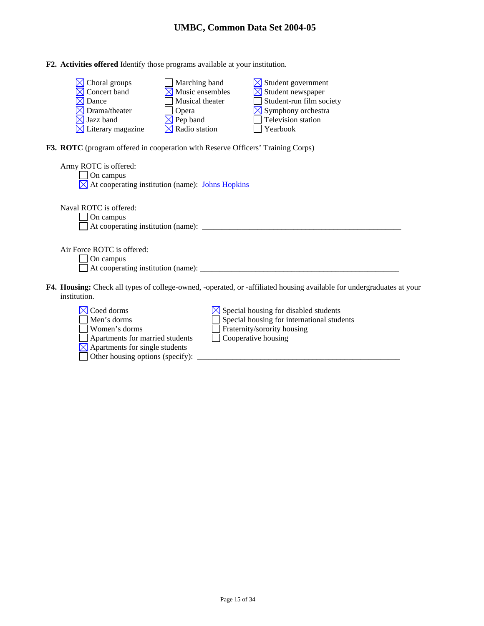| F2. Activities offered Identify those programs available at your institution. |
|-------------------------------------------------------------------------------|
|-------------------------------------------------------------------------------|

| $\boxtimes$ Choral groups     | $\Box$ Marching band        | $\boxtimes$ Student government |
|-------------------------------|-----------------------------|--------------------------------|
| $\boxtimes$ Concert band      | $\boxtimes$ Music ensembles | $\boxtimes$ Student newspaper  |
| $\boxtimes$ Dance             | Musical theater             | Student-run film society       |
| $\boxtimes$ Drama/theater     | <b>Opera</b>                | $\boxtimes$ Symphony orchestra |
| $\boxtimes$ Jazz band         | $\boxtimes$ Pep band        | Television station             |
| $\boxtimes$ Literary magazine | $\boxtimes$ Radio station   | Yearbook                       |

**F3. ROTC** (program offered in cooperation with Reserve Officers' Training Corps)

Other housing options (specify):  $\Box$ 

| Army ROTC is offered:<br>On campus                                                                                                           |
|----------------------------------------------------------------------------------------------------------------------------------------------|
| $\boxtimes$ At cooperating institution (name): Johns Hopkins                                                                                 |
| Naval ROTC is offered:<br>On campus                                                                                                          |
|                                                                                                                                              |
| Air Force ROTC is offered:<br>On campus                                                                                                      |
| <b>F4. Housing:</b> Check all types of college-owned, -operated, or -affiliated housing available for undergraduates at your<br>institution. |
| Coed dorms<br>Special housing for disabled students<br>Special housing for international students<br>Men's dorms                             |

| Men's dorms                                | Special housing for international  |
|--------------------------------------------|------------------------------------|
| Women's dorms                              | $\Box$ Fraternity/sorority housing |
| Apartments for married students            | Cooperative housing                |
| $\boxtimes$ Apartments for single students |                                    |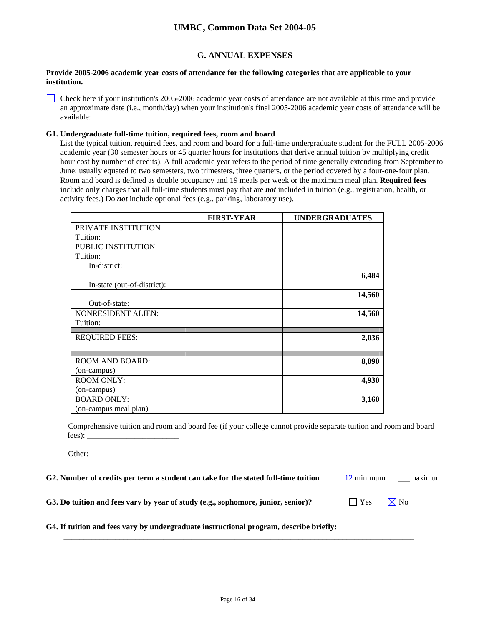## **G. ANNUAL EXPENSES**

### **Provide 2005-2006 academic year costs of attendance for the following categories that are applicable to your institution.**

Check here if your institution's 2005-2006 academic year costs of attendance are not available at this time and provide an approximate date (i.e., month/day) when your institution's final 2005-2006 academic year costs of attendance will be available:

### **G1. Undergraduate full-time tuition, required fees, room and board**

List the typical tuition, required fees, and room and board for a full-time undergraduate student for the FULL 2005-2006 academic year (30 semester hours or 45 quarter hours for institutions that derive annual tuition by multiplying credit hour cost by number of credits). A full academic year refers to the period of time generally extending from September to June; usually equated to two semesters, two trimesters, three quarters, or the period covered by a four-one-four plan. Room and board is defined as double occupancy and 19 meals per week or the maximum meal plan. **Required fees** include only charges that all full-time students must pay that are *not* included in tuition (e.g., registration, health, or activity fees.) Do *not* include optional fees (e.g., parking, laboratory use).

|                             | <b>FIRST-YEAR</b> | <b>UNDERGRADUATES</b> |
|-----------------------------|-------------------|-----------------------|
| PRIVATE INSTITUTION         |                   |                       |
| Tuition:                    |                   |                       |
| PUBLIC INSTITUTION          |                   |                       |
| Tuition:                    |                   |                       |
| In-district:                |                   |                       |
|                             |                   | 6,484                 |
| In-state (out-of-district): |                   |                       |
|                             |                   | 14,560                |
| Out-of-state:               |                   |                       |
| <b>NONRESIDENT ALIEN:</b>   |                   | 14,560                |
| Tuition:                    |                   |                       |
| <b>REQUIRED FEES:</b>       |                   | 2,036                 |
|                             |                   |                       |
|                             |                   |                       |
| <b>ROOM AND BOARD:</b>      |                   | 8,090                 |
| (on-campus)                 |                   |                       |
| <b>ROOM ONLY:</b>           |                   | 4,930                 |
| (on-campus)                 |                   |                       |
| <b>BOARD ONLY:</b>          |                   | 3,160                 |
| (on-campus meal plan)       |                   |                       |

Comprehensive tuition and room and board fee (if your college cannot provide separate tuition and room and board fees): \_\_\_\_\_\_\_\_\_\_\_\_\_\_\_\_\_\_\_\_\_\_\_

Other:

| G2. Number of credits per term a student can take for the stated full-time tuition | 12 minimum | maximum |
|------------------------------------------------------------------------------------|------------|---------|
|------------------------------------------------------------------------------------|------------|---------|

 $\mathcal{L}_\text{max}$  , and the set of the set of the set of the set of the set of the set of the set of the set of the set of the set of the set of the set of the set of the set of the set of the set of the set of the set of the

**G3. Do tuition and fees vary by year of study (e.g., sophomore, junior, senior)?**  $\Box$  Yes  $\Box$  Yo

G4. If tuition and fees vary by undergraduate instructional program, describe briefly: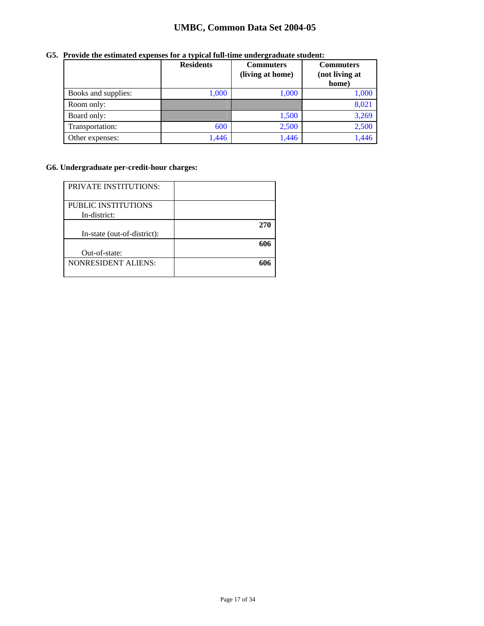|                     | <b>Residents</b> | <b>Commuters</b><br>(living at home) | <b>Commuters</b><br>(not living at<br>home) |
|---------------------|------------------|--------------------------------------|---------------------------------------------|
| Books and supplies: | 1,000            | 1,000                                | 1,000                                       |
| Room only:          |                  |                                      | 8,021                                       |
| Board only:         |                  | 1,500                                | 3,269                                       |
| Transportation:     | 600              | 2,500                                | 2,500                                       |
| Other expenses:     | 1,446            | 1,446                                | 1,446                                       |

## **G5. Provide the estimated expenses for a typical full-time undergraduate student:**

## **G6. Undergraduate per-credit-hour charges:**

| <b>PRIVATE INSTITUTIONS:</b> |     |
|------------------------------|-----|
| PUBLIC INSTITUTIONS          |     |
|                              |     |
| In-district:                 |     |
|                              | 270 |
| In-state (out-of-district):  |     |
|                              | 606 |
| Out-of-state:                |     |
| <b>NONRESIDENT ALIENS:</b>   | 606 |
|                              |     |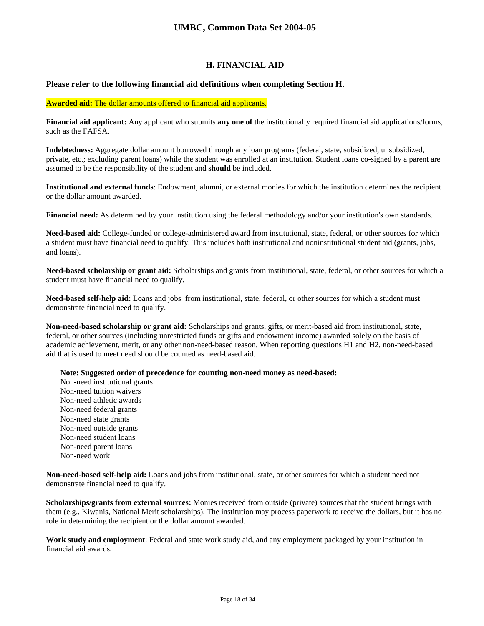## **H. FINANCIAL AID**

### **Please refer to the following financial aid definitions when completing Section H.**

#### **Awarded aid:** The dollar amounts offered to financial aid applicants.

**Financial aid applicant:** Any applicant who submits **any one of** the institutionally required financial aid applications/forms, such as the FAFSA.

**Indebtedness:** Aggregate dollar amount borrowed through any loan programs (federal, state, subsidized, unsubsidized, private, etc.; excluding parent loans) while the student was enrolled at an institution. Student loans co-signed by a parent are assumed to be the responsibility of the student and **should** be included.

**Institutional and external funds**: Endowment, alumni, or external monies for which the institution determines the recipient or the dollar amount awarded.

**Financial need:** As determined by your institution using the federal methodology and/or your institution's own standards.

**Need-based aid:** College-funded or college-administered award from institutional, state, federal, or other sources for which a student must have financial need to qualify. This includes both institutional and noninstitutional student aid (grants, jobs, and loans).

**Need-based scholarship or grant aid:** Scholarships and grants from institutional, state, federal, or other sources for which a student must have financial need to qualify.

**Need-based self-help aid:** Loans and jobs from institutional, state, federal, or other sources for which a student must demonstrate financial need to qualify.

**Non-need-based scholarship or grant aid:** Scholarships and grants, gifts, or merit-based aid from institutional, state, federal, or other sources (including unrestricted funds or gifts and endowment income) awarded solely on the basis of academic achievement, merit, or any other non-need-based reason. When reporting questions H1 and H2, non-need-based aid that is used to meet need should be counted as need-based aid.

**Note: Suggested order of precedence for counting non-need money as need-based:** 

Non-need institutional grants Non-need tuition waivers Non-need athletic awards Non-need federal grants Non-need state grants Non-need outside grants Non-need student loans Non-need parent loans Non-need work

**Non-need-based self-help aid:** Loans and jobs from institutional, state, or other sources for which a student need not demonstrate financial need to qualify.

**Scholarships/grants from external sources:** Monies received from outside (private) sources that the student brings with them (e.g., Kiwanis, National Merit scholarships). The institution may process paperwork to receive the dollars, but it has no role in determining the recipient or the dollar amount awarded.

**Work study and employment**: Federal and state work study aid, and any employment packaged by your institution in financial aid awards.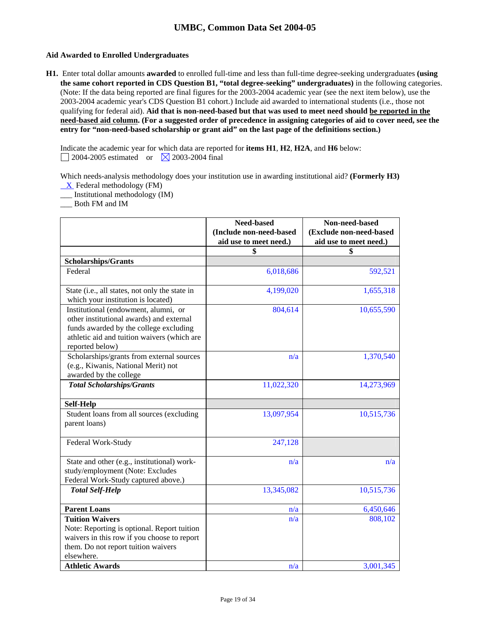### **Aid Awarded to Enrolled Undergraduates**

**H1.** Enter total dollar amounts **awarded** to enrolled full-time and less than full-time degree-seeking undergraduates **(using the same cohort reported in CDS Question B1, "total degree-seeking" undergraduates)** in the following categories. (Note: If the data being reported are final figures for the 2003-2004 academic year (see the next item below), use the 2003-2004 academic year's CDS Question B1 cohort.) Include aid awarded to international students (i.e., those not qualifying for federal aid). **Aid that is non-need-based but that was used to meet need should be reported in the need-based aid column. (For a suggested order of precedence in assigning categories of aid to cover need, see the entry for "non-need-based scholarship or grant aid" on the last page of the definitions section.)** 

Indicate the academic year for which data are reported for **items H1**, **H2**, **H2A**, and **H6** below:  $\Box$  2004-2005 estimated or  $\Box$  2003-2004 final

Which needs-analysis methodology does your institution use in awarding institutional aid? **(Formerly H3)**   $X$  Federal methodology (FM)

\_\_\_ Institutional methodology (IM)

\_\_\_ Both FM and IM

|                                                                                                                                                                                              | Need-based<br>(Include non-need-based | Non-need-based<br>(Exclude non-need-based |
|----------------------------------------------------------------------------------------------------------------------------------------------------------------------------------------------|---------------------------------------|-------------------------------------------|
|                                                                                                                                                                                              | aid use to meet need.)                | aid use to meet need.)                    |
|                                                                                                                                                                                              | \$                                    | \$                                        |
| <b>Scholarships/Grants</b>                                                                                                                                                                   |                                       |                                           |
| Federal                                                                                                                                                                                      | 6,018,686                             | 592,521                                   |
| State (i.e., all states, not only the state in<br>which your institution is located)                                                                                                         | 4,199,020                             | 1,655,318                                 |
| Institutional (endowment, alumni, or<br>other institutional awards) and external<br>funds awarded by the college excluding<br>athletic aid and tuition waivers (which are<br>reported below) | 804,614                               | 10,655,590                                |
| Scholarships/grants from external sources<br>(e.g., Kiwanis, National Merit) not<br>awarded by the college                                                                                   | n/a                                   | 1,370,540                                 |
| <b>Total Scholarships/Grants</b>                                                                                                                                                             | 11,022,320                            | 14,273,969                                |
| <b>Self-Help</b>                                                                                                                                                                             |                                       |                                           |
| Student loans from all sources (excluding<br>parent loans)                                                                                                                                   | 13,097,954                            | 10,515,736                                |
| Federal Work-Study                                                                                                                                                                           | 247,128                               |                                           |
| State and other (e.g., institutional) work-<br>study/employment (Note: Excludes<br>Federal Work-Study captured above.)                                                                       | n/a                                   | n/a                                       |
| <b>Total Self-Help</b>                                                                                                                                                                       | 13,345,082                            | 10,515,736                                |
| <b>Parent Loans</b>                                                                                                                                                                          | n/a                                   | 6,450,646                                 |
| <b>Tuition Waivers</b><br>Note: Reporting is optional. Report tuition<br>waivers in this row if you choose to report<br>them. Do not report tuition waivers<br>elsewhere.                    | n/a                                   | 808,102                                   |
| <b>Athletic Awards</b>                                                                                                                                                                       | n/a                                   | 3,001,345                                 |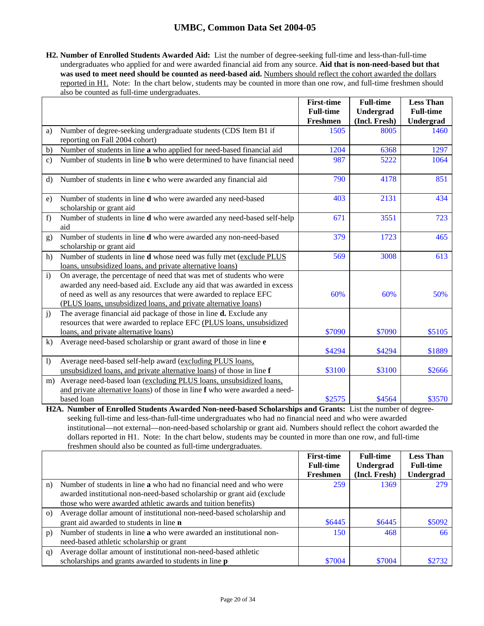**H2. Number of Enrolled Students Awarded Aid:** List the number of degree-seeking full-time and less-than-full-time undergraduates who applied for and were awarded financial aid from any source. **Aid that is non-need-based but that**  was used to meet need should be counted as need-based aid. Numbers should reflect the cohort awarded the dollars reported in H1. Note: In the chart below, students may be counted in more than one row, and full-time freshmen should also be counted as full-time undergraduates.

|                  |                                                                                                                                                                                                                                                                                        | <b>First-time</b>                   | <b>Full-time</b>           | <b>Less Than</b>              |
|------------------|----------------------------------------------------------------------------------------------------------------------------------------------------------------------------------------------------------------------------------------------------------------------------------------|-------------------------------------|----------------------------|-------------------------------|
|                  |                                                                                                                                                                                                                                                                                        | <b>Full-time</b><br><b>Freshmen</b> | Undergrad<br>(Incl. Fresh) | <b>Full-time</b><br>Undergrad |
| a)               | Number of degree-seeking undergraduate students (CDS Item B1 if<br>reporting on Fall 2004 cohort)                                                                                                                                                                                      | 1505                                | 8005                       | 1460                          |
| b)               | Number of students in line a who applied for need-based financial aid                                                                                                                                                                                                                  | 1204                                | 6368                       | 1297                          |
| $\mathbf{c}$     | Number of students in line <b>b</b> who were determined to have financial need                                                                                                                                                                                                         | 987                                 | 5222                       | 1064                          |
| $\rm d$          | Number of students in line c who were awarded any financial aid                                                                                                                                                                                                                        | 790                                 | 4178                       | 851                           |
| e)               | Number of students in line <b>d</b> who were awarded any need-based<br>scholarship or grant aid                                                                                                                                                                                        | 403                                 | 2131                       | 434                           |
| f)               | Number of students in line <b>d</b> who were awarded any need-based self-help<br>aid                                                                                                                                                                                                   | 671                                 | 3551                       | 723                           |
| g)               | Number of students in line <b>d</b> who were awarded any non-need-based<br>scholarship or grant aid                                                                                                                                                                                    | 379                                 | 1723                       | 465                           |
| h)               | Number of students in line d whose need was fully met (exclude PLUS<br>loans, unsubsidized loans, and private alternative loans)                                                                                                                                                       | 569                                 | 3008                       | 613                           |
| $\mathbf{i}$     | On average, the percentage of need that was met of students who were<br>awarded any need-based aid. Exclude any aid that was awarded in excess<br>of need as well as any resources that were awarded to replace EFC<br>(PLUS loans, unsubsidized loans, and private alternative loans) | 60%                                 | 60%                        | 50%                           |
| j)               | The average financial aid package of those in line <b>d.</b> Exclude any<br>resources that were awarded to replace EFC (PLUS loans, unsubsidized<br>loans, and private alternative loans)                                                                                              | \$7090                              | \$7090                     | \$5105                        |
| k)               | Average need-based scholarship or grant award of those in line e                                                                                                                                                                                                                       | \$4294                              | \$4294                     | \$1889                        |
| $\left  \right $ | Average need-based self-help award (excluding PLUS loans,<br>unsubsidized loans, and private alternative loans) of those in line f                                                                                                                                                     | \$3100                              | \$3100                     | \$2666                        |
| m)               | Average need-based loan (excluding PLUS loans, unsubsidized loans,<br>and private alternative loans) of those in line f who were awarded a need-<br>based loan                                                                                                                         | \$2575                              | \$4564                     | \$3570                        |
|                  |                                                                                                                                                                                                                                                                                        |                                     |                            |                               |

**H2A. Number of Enrolled Students Awarded Non-need-based Scholarships and Grants:** List the number of degreeseeking full-time and less-than-full-time undergraduates who had no financial need and who were awarded institutional—not external—non-need-based scholarship or grant aid. Numbers should reflect the cohort awarded the dollars reported in H1. Note: In the chart below, students may be counted in more than one row, and full-time freshmen should also be counted as full-time undergraduates.

|              |                                                                            | <b>First-time</b><br><b>Full-time</b> | <b>Full-time</b><br>Undergrad | <b>Less Than</b><br><b>Full-time</b> |
|--------------|----------------------------------------------------------------------------|---------------------------------------|-------------------------------|--------------------------------------|
|              |                                                                            | Freshmen                              | (Incl. Fresh)                 | Undergrad                            |
| n)           | Number of students in line <b>a</b> who had no financial need and who were | 259                                   | 1369                          | 279                                  |
|              | awarded institutional non-need-based scholarship or grant aid (exclude     |                                       |                               |                                      |
|              | those who were awarded athletic awards and tuition benefits)               |                                       |                               |                                      |
| $\Omega$     | Average dollar amount of institutional non-need-based scholarship and      |                                       |                               |                                      |
|              | grant aid awarded to students in line <b>n</b>                             | \$6445                                | \$6445                        | \$5092                               |
| p)           | Number of students in line a who were awarded an institutional non-        | 150                                   | 468                           | 66                                   |
|              | need-based athletic scholarship or grant                                   |                                       |                               |                                      |
| $\mathbf{q}$ | Average dollar amount of institutional non-need-based athletic             |                                       |                               |                                      |
|              | scholarships and grants awarded to students in line <b>p</b>               | \$7004                                | \$7004                        | \$2732                               |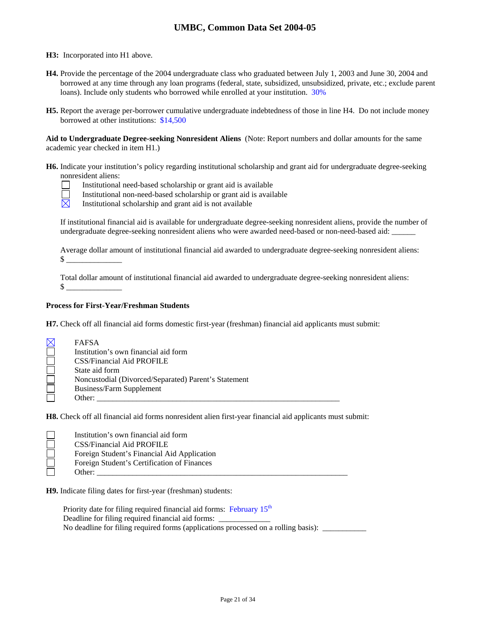**H3:** Incorporated into H1 above.

- **H4.** Provide the percentage of the 2004 undergraduate class who graduated between July 1, 2003 and June 30, 2004 and borrowed at any time through any loan programs (federal, state, subsidized, unsubsidized, private, etc.; exclude parent loans). Include only students who borrowed while enrolled at your institution.  $30\%$
- **H5.** Report the average per-borrower cumulative undergraduate indebtedness of those in line H4. Do not include money borrowed at other institutions: \$14,500

**Aid to Undergraduate Degree-seeking Nonresident Aliens** (Note: Report numbers and dollar amounts for the same academic year checked in item H1.)

- **H6.** Indicate your institution's policy regarding institutional scholarship and grant aid for undergraduate degree-seeking nonresident aliens:
	- Institutional need-based scholarship or grant aid is available
	- Institutional non-need-based scholarship or grant aid is available
	- $\boxtimes$ Institutional scholarship and grant aid is not available

If institutional financial aid is available for undergraduate degree-seeking nonresident aliens, provide the number of undergraduate degree-seeking nonresident aliens who were awarded need-based or non-need-based aid:

Average dollar amount of institutional financial aid awarded to undergraduate degree-seeking nonresident aliens:  $\frac{1}{2}$ 

Total dollar amount of institutional financial aid awarded to undergraduate degree-seeking nonresident aliens:  $\mathbb S$ 

### **Process for First-Year/Freshman Students**

**H7.** Check off all financial aid forms domestic first-year (freshman) financial aid applicants must submit:

| $\boxtimes$ | <b>FAFSA</b>                                         |
|-------------|------------------------------------------------------|
|             | Institution's own financial aid form                 |
|             | <b>CSS/Financial Aid PROFILE</b>                     |
|             | State aid form                                       |
|             | Noncustodial (Divorced/Separated) Parent's Statement |
|             | Business/Farm Supplement                             |
|             | Other:                                               |

**H8.** Check off all financial aid forms nonresident alien first-year financial aid applicants must submit:

| Institution's own financial aid form        |
|---------------------------------------------|
| CSS/Financial Aid PROFILE                   |
| Foreign Student's Financial Aid Application |
| Foreign Student's Certification of Finances |
| Other:                                      |

**H9.** Indicate filing dates for first-year (freshman) students:

Priority date for filing required financial aid forms: February 15<sup>th</sup> Deadline for filing required financial aid forms: No deadline for filing required forms (applications processed on a rolling basis): \_\_\_\_\_\_\_\_\_\_\_\_\_\_\_\_\_\_\_\_\_\_\_\_\_\_\_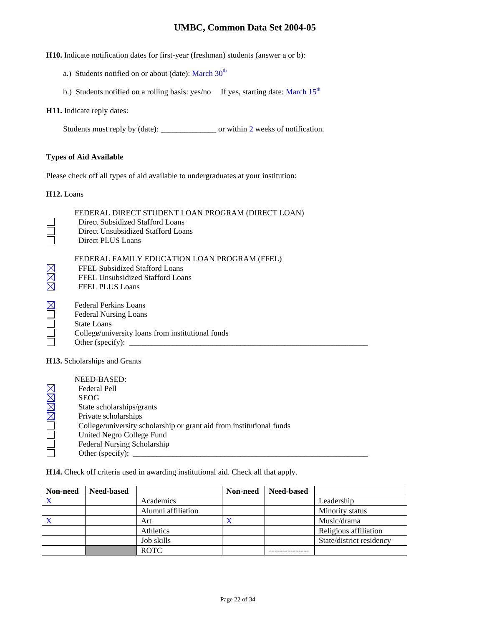**H10.** Indicate notification dates for first-year (freshman) students (answer a or b):

- a.) Students notified on or about (date): March  $30<sup>th</sup>$
- b.) Students notified on a rolling basis: yes/no If yes, starting date: March  $15<sup>th</sup>$

### **H11.** Indicate reply dates:

Students must reply by (date): \_\_\_\_\_\_\_\_\_\_\_\_\_\_\_\_\_ or within 2 weeks of notification.

### **Types of Aid Available**

Please check off all types of aid available to undergraduates at your institution:

**H12.** Loans

|     | FEDERAL DIRECT STUDENT LOAN PROGRAM (DIRECT LOAN)<br>Direct Subsidized Stafford Loans<br>Direct Unsubsidized Stafford Loans<br>Direct PLUS Loans |
|-----|--------------------------------------------------------------------------------------------------------------------------------------------------|
| MMM | FEDERAL FAMILY EDUCATION LOAN PROGRAM (FFEL)<br>FFEL Subsidized Stafford Loans<br>FFEL Unsubsidized Stafford Loans<br><b>FFEL PLUS Loans</b>     |
|     | <b>Federal Perkins Loans</b><br><b>Federal Nursing Loans</b><br>State Loans<br>College/university loans from institutional funds                 |
|     |                                                                                                                                                  |

**H13.** Scholarships and Grants

| NEED-BASED:                                                          |
|----------------------------------------------------------------------|
| Federal Pell                                                         |
| <b>SEOG</b>                                                          |
| State scholarships/grants                                            |
| Private scholarships                                                 |
| College/university scholarship or grant aid from institutional funds |
| United Negro College Fund                                            |
| Federal Nursing Scholarship                                          |
| Other (specify):                                                     |

**H14.** Check off criteria used in awarding institutional aid. Check all that apply.

| Non-need  | <b>Need-based</b> |                    | Non-need       | <b>Need-based</b> |                          |
|-----------|-------------------|--------------------|----------------|-------------------|--------------------------|
|           |                   | Academics          |                |                   | Leadership               |
|           |                   | Alumni affiliation |                |                   | Minority status          |
| $\lambda$ |                   | Art                | $\bm{\lambda}$ |                   | Music/drama              |
|           |                   | Athletics          |                |                   | Religious affiliation    |
|           |                   | Job skills         |                |                   | State/district residency |
|           |                   | <b>ROTC</b>        |                |                   |                          |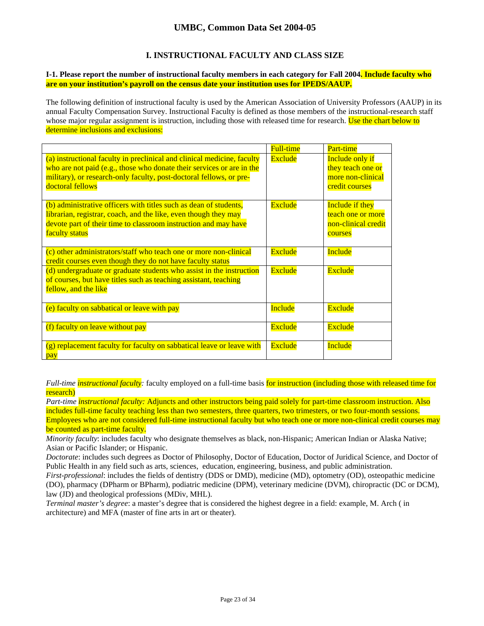## **I. INSTRUCTIONAL FACULTY AND CLASS SIZE**

### **I-1. Please report the number of instructional faculty members in each category for Fall 2004. Include faculty who are on your institution's payroll on the census date your institution uses for IPEDS/AAUP.**

The following definition of instructional faculty is used by the American Association of University Professors (AAUP) in its annual Faculty Compensation Survey. Instructional Faculty is defined as those members of the instructional-research staff whose major regular assignment is instruction, including those with released time for research. Use the chart below to determine inclusions and exclusions:

|                                                                                                                                                                                                                                             | <b>Full-time</b> | Part-time                                                                          |
|---------------------------------------------------------------------------------------------------------------------------------------------------------------------------------------------------------------------------------------------|------------------|------------------------------------------------------------------------------------|
| (a) instructional faculty in preclinical and clinical medicine, faculty<br>who are not paid (e.g., those who donate their services or are in the<br>military), or research-only faculty, post-doctoral fellows, or pre-<br>doctoral fellows | Exclude          | <b>Include only if</b><br>they teach one or<br>more non-clinical<br>credit courses |
| (b) administrative officers with titles such as dean of students,<br>librarian, registrar, coach, and the like, even though they may<br>devote part of their time to classroom instruction and may have<br>faculty status                   | Exclude          | <b>Include if they</b><br>teach one or more<br>non-clinical credit<br>courses      |
| (c) other administrators/staff who teach one or more non-clinical<br>credit courses even though they do not have faculty status                                                                                                             | Exclude          | Include                                                                            |
| (d) undergraduate or graduate students who assist in the instruction<br>of courses, but have titles such as teaching assistant, teaching<br>fellow, and the like                                                                            | Exclude          | Exclude                                                                            |
| (e) faculty on sabbatical or leave with pay                                                                                                                                                                                                 | <b>Include</b>   | <b>Exclude</b>                                                                     |
| (f) faculty on leave without pay                                                                                                                                                                                                            | Exclude          | <b>Exclude</b>                                                                     |
| (g) replacement faculty for faculty on sabbatical leave or leave with<br>pay                                                                                                                                                                | <b>Exclude</b>   | Include                                                                            |

*Full-time instructional faculty*: faculty employed on a full-time basis for instruction (including those with released time for research)

*Part-time instructional faculty:* Adjuncts and other instructors being paid solely for part-time classroom instruction. Also includes full-time faculty teaching less than two semesters, three quarters, two trimesters, or two four-month sessions. Employees who are not considered full-time instructional faculty but who teach one or more non-clinical credit courses may be counted as part-time faculty.

*Minority faculty*: includes faculty who designate themselves as black, non-Hispanic; American Indian or Alaska Native; Asian or Pacific Islander; or Hispanic.

*Doctorate*: includes such degrees as Doctor of Philosophy, Doctor of Education, Doctor of Juridical Science, and Doctor of Public Health in any field such as arts, sciences, education, engineering, business, and public administration.

*First-professional*: includes the fields of dentistry (DDS or DMD), medicine (MD), optometry (OD), osteopathic medicine (DO), pharmacy (DPharm or BPharm), podiatric medicine (DPM), veterinary medicine (DVM), chiropractic (DC or DCM), law (JD) and theological professions (MDiv, MHL).

*Terminal master's degree*: a master's degree that is considered the highest degree in a field: example, M. Arch ( in architecture) and MFA (master of fine arts in art or theater).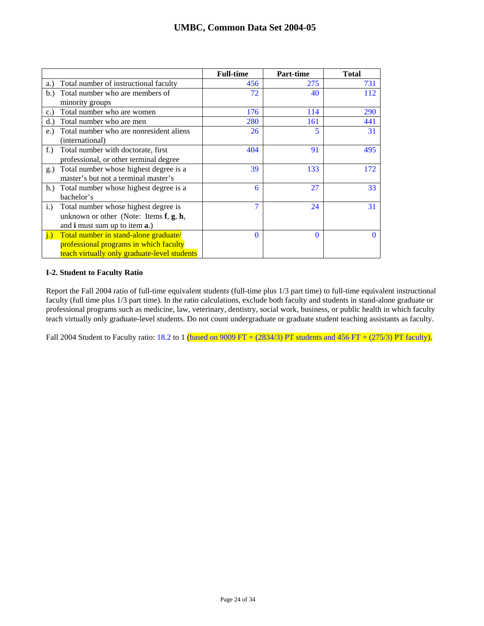|                                                          | <b>Full-time</b> | <b>Part-time</b> | <b>Total</b> |
|----------------------------------------------------------|------------------|------------------|--------------|
| Total number of instructional faculty<br>a.)             | 456              | 275              | 731          |
| Total number who are members of<br>b.                    | 72               | 40               | 112          |
| minority groups                                          |                  |                  |              |
| Total number who are women<br>c.                         | 176              | 114              | <b>290</b>   |
| Total number who are men<br>(d.)                         | 280              | 161              | 441          |
| Total number who are nonresident aliens<br>e.)           | 26               | 5                | 31           |
| (international)                                          |                  |                  |              |
| Total number with doctorate, first<br>$f$ .              | 404              | 91               | 495          |
| professional, or other terminal degree                   |                  |                  |              |
| Total number whose highest degree is a<br>g.)            | 39               | 133              | 172          |
| master's but not a terminal master's                     |                  |                  |              |
| h.) Total number whose highest degree is a               | 6                | 27               | 33           |
| bachelor's                                               |                  |                  |              |
| i.)<br>Total number whose highest degree is              | 7                | 24               | 31           |
| unknown or other (Note: Items $f, g, h$ ,                |                  |                  |              |
| and <b>i</b> must sum up to item <b>a</b> .)             |                  |                  |              |
| $\mathbf{i}$ .)<br>Total number in stand-alone graduate/ | $\Omega$         | $\Omega$         | 0            |
| professional programs in which faculty                   |                  |                  |              |
| teach virtually only graduate-level students             |                  |                  |              |

### **I-2. Student to Faculty Ratio**

Report the Fall 2004 ratio of full-time equivalent students (full-time plus 1/3 part time) to full-time equivalent instructional faculty (full time plus 1/3 part time). In the ratio calculations, exclude both faculty and students in stand-alone graduate or professional programs such as medicine, law, veterinary, dentistry, social work, business, or public health in which faculty teach virtually only graduate-level students. Do not count undergraduate or graduate student teaching assistants as faculty.

Fall 2004 Student to Faculty ratio: 18.2 to 1 (based on 9009 FT + (2834/3) PT students and 456 FT + (275/3) PT faculty).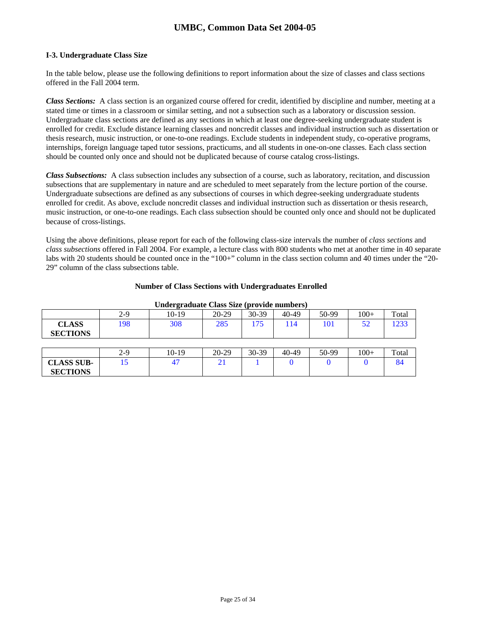### **I-3. Undergraduate Class Size**

In the table below, please use the following definitions to report information about the size of classes and class sections offered in the Fall 2004 term.

*Class Sections:* A class section is an organized course offered for credit, identified by discipline and number, meeting at a stated time or times in a classroom or similar setting, and not a subsection such as a laboratory or discussion session. Undergraduate class sections are defined as any sections in which at least one degree-seeking undergraduate student is enrolled for credit. Exclude distance learning classes and noncredit classes and individual instruction such as dissertation or thesis research, music instruction, or one-to-one readings. Exclude students in independent study, co-operative programs, internships, foreign language taped tutor sessions, practicums, and all students in one-on-one classes. Each class section should be counted only once and should not be duplicated because of course catalog cross-listings.

*Class Subsections:* A class subsection includes any subsection of a course, such as laboratory, recitation, and discussion subsections that are supplementary in nature and are scheduled to meet separately from the lecture portion of the course. Undergraduate subsections are defined as any subsections of courses in which degree-seeking undergraduate students enrolled for credit. As above, exclude noncredit classes and individual instruction such as dissertation or thesis research, music instruction, or one-to-one readings. Each class subsection should be counted only once and should not be duplicated because of cross-listings.

Using the above definitions, please report for each of the following class-size intervals the number of *class sections* and *class subsections* offered in Fall 2004. For example, a lecture class with 800 students who met at another time in 40 separate labs with 20 students should be counted once in the "100+" column in the class section column and 40 times under the "20-29" column of the class subsections table.

### **Number of Class Sections with Undergraduates Enrolled**

| ------ <b>-</b> ---             |       |         |       |         |       |       |        |       |
|---------------------------------|-------|---------|-------|---------|-------|-------|--------|-------|
|                                 | $2-9$ | $10-19$ | 20-29 | 30-39   | 40-49 | 50-99 | $100+$ | Total |
| <b>CLASS</b><br><b>SECTIONS</b> | 198   | 308     | 285   | 175     | 114   | 101   | 52     | 1233  |
|                                 |       |         |       |         |       |       |        |       |
|                                 | $2-9$ | $10-19$ | 20-29 | $30-39$ | 40-49 | 50-99 | $100+$ | Total |
| <b>CLASS SUB-</b>               | 15    | 47      | 21    |         |       |       |        | 84    |
| <b>SECTIONS</b>                 |       |         |       |         |       |       |        |       |

#### **Undergraduate Class Size (provide numbers)**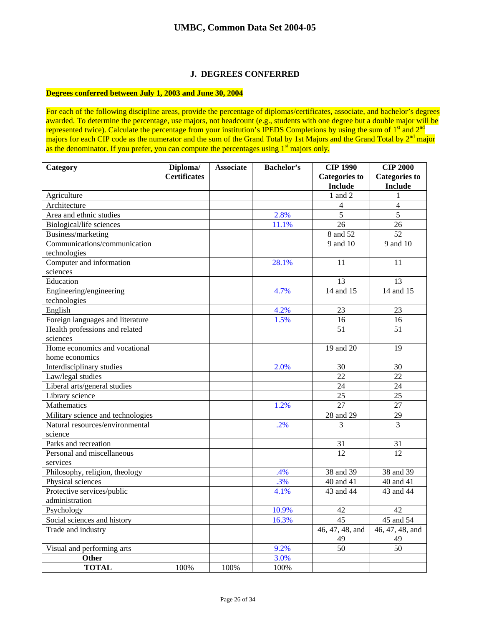## **J. DEGREES CONFERRED**

### **Degrees conferred between July 1, 2003 and June 30, 2004**

For each of the following discipline areas, provide the percentage of diplomas/certificates, associate, and bachelor's degrees awarded. To determine the percentage, use majors, not headcount (e.g., students with one degree but a double major will be represented twice). Calculate the percentage from your institution's IPEDS Completions by using the sum of  $1<sup>st</sup>$  and  $2<sup>nd</sup>$ majors for each CIP code as the numerator and the sum of the Grand Total by 1st Majors and the Grand Total by 2<sup>nd</sup> major as the denominator. If you prefer, you can compute the percentages using  $1<sup>st</sup>$  majors only.

| Category                          | Diploma/            | <b>Associate</b> | <b>Bachelor's</b> | <b>CIP 1990</b>      | <b>CIP 2000</b>      |
|-----------------------------------|---------------------|------------------|-------------------|----------------------|----------------------|
|                                   | <b>Certificates</b> |                  |                   | <b>Categories to</b> | <b>Categories</b> to |
|                                   |                     |                  |                   | <b>Include</b>       | <b>Include</b>       |
| Agriculture                       |                     |                  |                   | 1 and 2              | 1                    |
| Architecture                      |                     |                  |                   | $\overline{4}$       | $\overline{4}$       |
| Area and ethnic studies           |                     |                  | 2.8%              | 5                    | 5                    |
| Biological/life sciences          |                     |                  | 11.1%             | 26                   | 26                   |
| Business/marketing                |                     |                  |                   | 8 and 52             | 52                   |
| Communications/communication      |                     |                  |                   | 9 and 10             | 9 and 10             |
| technologies                      |                     |                  |                   |                      |                      |
| Computer and information          |                     |                  | 28.1%             | 11                   | 11                   |
| sciences                          |                     |                  |                   |                      |                      |
| Education                         |                     |                  |                   | 13                   | 13                   |
| Engineering/engineering           |                     |                  | 4.7%              | 14 and 15            | 14 and 15            |
| technologies                      |                     |                  |                   |                      |                      |
| English                           |                     |                  | 4.2%              | 23                   | 23                   |
| Foreign languages and literature  |                     |                  | 1.5%              | 16                   | 16                   |
| Health professions and related    |                     |                  |                   | 51                   | 51                   |
| sciences                          |                     |                  |                   |                      |                      |
| Home economics and vocational     |                     |                  |                   | 19 and 20            | 19                   |
| home economics                    |                     |                  |                   |                      |                      |
| Interdisciplinary studies         |                     |                  | 2.0%              | 30                   | 30                   |
| Law/legal studies                 |                     |                  |                   | 22                   | 22                   |
| Liberal arts/general studies      |                     |                  |                   | 24                   | 24                   |
| Library science                   |                     |                  |                   | $\overline{25}$      | $\overline{25}$      |
| Mathematics                       |                     |                  | 1.2%              | 27                   | 27                   |
| Military science and technologies |                     |                  |                   | 28 and 29            | $\overline{29}$      |
| Natural resources/environmental   |                     |                  | .2%               | 3                    | 3                    |
| science                           |                     |                  |                   |                      |                      |
| Parks and recreation              |                     |                  |                   | 31                   | 31                   |
| Personal and miscellaneous        |                     |                  |                   | 12                   | 12                   |
| services                          |                     |                  |                   |                      |                      |
| Philosophy, religion, theology    |                     |                  | .4%               | 38 and 39            | 38 and 39            |
| Physical sciences                 |                     |                  | .3%               | 40 and 41            | 40 and 41            |
| Protective services/public        |                     |                  | 4.1%              | 43 and 44            | 43 and 44            |
| administration                    |                     |                  |                   |                      |                      |
| Psychology                        |                     |                  | 10.9%             | 42                   | 42                   |
| Social sciences and history       |                     |                  | 16.3%             | 45                   | 45 and 54            |
| Trade and industry                |                     |                  |                   | 46, 47, 48, and      | 46, 47, 48, and      |
|                                   |                     |                  |                   | 49                   | 49                   |
| Visual and performing arts        |                     |                  | 9.2%              | 50                   | 50                   |
| Other                             |                     |                  | 3.0%              |                      |                      |
| <b>TOTAL</b>                      | 100%                | 100%             | 100%              |                      |                      |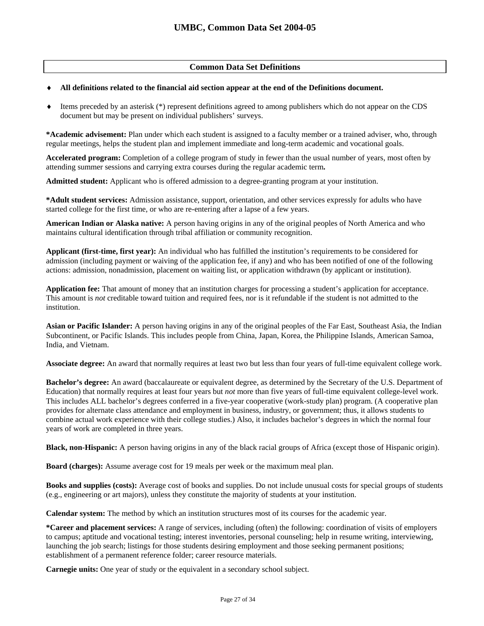### **Common Data Set Definitions**

### ♦ **All definitions related to the financial aid section appear at the end of the Definitions document.**

♦ Items preceded by an asterisk (\*) represent definitions agreed to among publishers which do not appear on the CDS document but may be present on individual publishers' surveys.

**\*Academic advisement:** Plan under which each student is assigned to a faculty member or a trained adviser, who, through regular meetings, helps the student plan and implement immediate and long-term academic and vocational goals.

**Accelerated program:** Completion of a college program of study in fewer than the usual number of years, most often by attending summer sessions and carrying extra courses during the regular academic term**.** 

**Admitted student:** Applicant who is offered admission to a degree-granting program at your institution.

**\*Adult student services:** Admission assistance, support, orientation, and other services expressly for adults who have started college for the first time, or who are re-entering after a lapse of a few years.

**American Indian or Alaska native:** A person having origins in any of the original peoples of North America and who maintains cultural identification through tribal affiliation or community recognition.

**Applicant (first-time, first year):** An individual who has fulfilled the institution's requirements to be considered for admission (including payment or waiving of the application fee, if any) and who has been notified of one of the following actions: admission, nonadmission, placement on waiting list, or application withdrawn (by applicant or institution).

**Application fee:** That amount of money that an institution charges for processing a student's application for acceptance. This amount is *not* creditable toward tuition and required fees, nor is it refundable if the student is not admitted to the institution.

**Asian or Pacific Islander:** A person having origins in any of the original peoples of the Far East, Southeast Asia, the Indian Subcontinent, or Pacific Islands. This includes people from China, Japan, Korea, the Philippine Islands, American Samoa, India, and Vietnam.

**Associate degree:** An award that normally requires at least two but less than four years of full-time equivalent college work.

**Bachelor's degree:** An award (baccalaureate or equivalent degree, as determined by the Secretary of the U.S. Department of Education) that normally requires at least four years but *not* more than five years of full-time equivalent college-level work. This includes ALL bachelor's degrees conferred in a five-year cooperative (work-study plan) program. (A cooperative plan provides for alternate class attendance and employment in business, industry, or government; thus, it allows students to combine actual work experience with their college studies.) Also, it includes bachelor's degrees in which the normal four years of work are completed in three years.

**Black, non-Hispanic:** A person having origins in any of the black racial groups of Africa (except those of Hispanic origin).

**Board (charges):** Assume average cost for 19 meals per week or the maximum meal plan.

**Books and supplies (costs):** Average cost of books and supplies. Do not include unusual costs for special groups of students (e.g., engineering or art majors), unless they constitute the majority of students at your institution.

**Calendar system:** The method by which an institution structures most of its courses for the academic year.

**\*Career and placement services:** A range of services, including (often) the following: coordination of visits of employers to campus; aptitude and vocational testing; interest inventories, personal counseling; help in resume writing, interviewing, launching the job search; listings for those students desiring employment and those seeking permanent positions; establishment of a permanent reference folder; career resource materials.

**Carnegie units:** One year of study or the equivalent in a secondary school subject.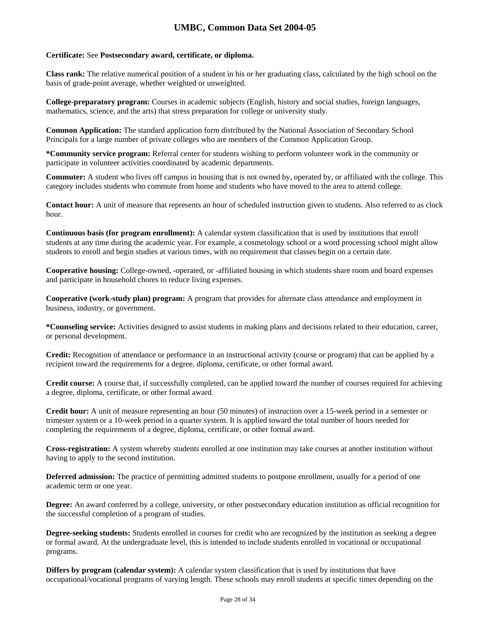### **Certificate:** See **Postsecondary award, certificate, or diploma.**

**Class rank:** The relative numerical position of a student in his or her graduating class, calculated by the high school on the basis of grade-point average, whether weighted or unweighted.

**College-preparatory program:** Courses in academic subjects (English, history and social studies, foreign languages, mathematics, science, and the arts) that stress preparation for college or university study.

**Common Application:** The standard application form distributed by the National Association of Secondary School Principals for a large number of private colleges who are members of the Common Application Group.

**\*Community service program:** Referral center for students wishing to perform volunteer work in the community or participate in volunteer activities coordinated by academic departments.

**Commuter:** A student who lives off campus in housing that is not owned by, operated by, or affiliated with the college. This category includes students who commute from home and students who have moved to the area to attend college.

**Contact hour:** A unit of measure that represents an hour of scheduled instruction given to students. Also referred to as clock hour.

**Continuous basis (for program enrollment):** A calendar system classification that is used by institutions that enroll students at any time during the academic year. For example, a cosmetology school or a word processing school might allow students to enroll and begin studies at various times, with no requirement that classes begin on a certain date.

**Cooperative housing:** College-owned, -operated, or -affiliated housing in which students share room and board expenses and participate in household chores to reduce living expenses.

**Cooperative (work-study plan) program:** A program that provides for alternate class attendance and employment in business, industry, or government.

**\*Counseling service:** Activities designed to assist students in making plans and decisions related to their education, career, or personal development.

**Credit:** Recognition of attendance or performance in an instructional activity (course or program) that can be applied by a recipient toward the requirements for a degree, diploma, certificate, or other formal award.

**Credit course:** A course that, if successfully completed, can be applied toward the number of courses required for achieving a degree, diploma, certificate, or other formal award.

**Credit hour:** A unit of measure representing an hour (50 minutes) of instruction over a 15-week period in a semester or trimester system or a 10-week period in a quarter system. It is applied toward the total number of hours needed for completing the requirements of a degree, diploma, certificate, or other formal award.

**Cross-registration:** A system whereby students enrolled at one institution may take courses at another institution without having to apply to the second institution.

**Deferred admission:** The practice of permitting admitted students to postpone enrollment, usually for a period of one academic term or one year.

**Degree:** An award conferred by a college, university, or other postsecondary education institution as official recognition for the successful completion of a program of studies.

**Degree-seeking students:** Students enrolled in courses for credit who are recognized by the institution as seeking a degree or formal award. At the undergraduate level, this is intended to include students enrolled in vocational or occupational programs.

**Differs by program (calendar system):** A calendar system classification that is used by institutions that have occupational/vocational programs of varying length. These schools may enroll students at specific times depending on the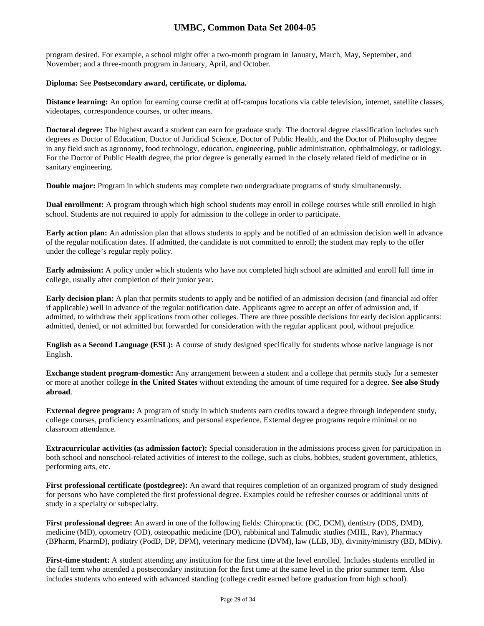program desired. For example, a school might offer a two-month program in January, March, May, September, and November; and a three-month program in January, April, and October.

### **Diploma:** See **Postsecondary award, certificate, or diploma.**

**Distance learning:** An option for earning course credit at off-campus locations via cable television, internet, satellite classes, videotapes, correspondence courses, or other means.

**Doctoral degree:** The highest award a student can earn for graduate study. The doctoral degree classification includes such degrees as Doctor of Education, Doctor of Juridical Science, Doctor of Public Health, and the Doctor of Philosophy degree in any field such as agronomy, food technology, education, engineering, public administration, ophthalmology, or radiology. For the Doctor of Public Health degree, the prior degree is generally earned in the closely related field of medicine or in sanitary engineering.

**Double major:** Program in which students may complete two undergraduate programs of study simultaneously.

**Dual enrollment:** A program through which high school students may enroll in college courses while still enrolled in high school. Students are not required to apply for admission to the college in order to participate.

**Early action plan:** An admission plan that allows students to apply and be notified of an admission decision well in advance of the regular notification dates. If admitted, the candidate is not committed to enroll; the student may reply to the offer under the college's regular reply policy.

**Early admission:** A policy under which students who have not completed high school are admitted and enroll full time in college, usually after completion of their junior year.

**Early decision plan:** A plan that permits students to apply and be notified of an admission decision (and financial aid offer if applicable) well in advance of the regular notification date. Applicants agree to accept an offer of admission and, if admitted, to withdraw their applications from other colleges. There are three possible decisions for early decision applicants: admitted, denied, or not admitted but forwarded for consideration with the regular applicant pool, without prejudice.

**English as a Second Language (ESL):** A course of study designed specifically for students whose native language is not English.

**Exchange student program-domestic:** Any arrangement between a student and a college that permits study for a semester or more at another college **in the United States** without extending the amount of time required for a degree. **See also Study abroad**.

**External degree program:** A program of study in which students earn credits toward a degree through independent study, college courses, proficiency examinations, and personal experience. External degree programs require minimal or no classroom attendance.

**Extracurricular activities (as admission factor):** Special consideration in the admissions process given for participation in both school and nonschool-related activities of interest to the college, such as clubs, hobbies, student government, athletics, performing arts, etc.

**First professional certificate (postdegree):** An award that requires completion of an organized program of study designed for persons who have completed the first professional degree. Examples could be refresher courses or additional units of study in a specialty or subspecialty.

**First professional degree:** An award in one of the following fields: Chiropractic (DC, DCM), dentistry (DDS, DMD), medicine (MD), optometry (OD), osteopathic medicine (DO), rabbinical and Talmudic studies (MHL, Rav), Pharmacy (BPharm, PharmD), podiatry (PodD, DP, DPM), veterinary medicine (DVM), law (LLB, JD), divinity/ministry (BD, MDiv).

**First-time student:** A student attending any institution for the first time at the level enrolled. Includes students enrolled in the fall term who attended a postsecondary institution for the first time at the same level in the prior summer term. Also includes students who entered with advanced standing (college credit earned before graduation from high school).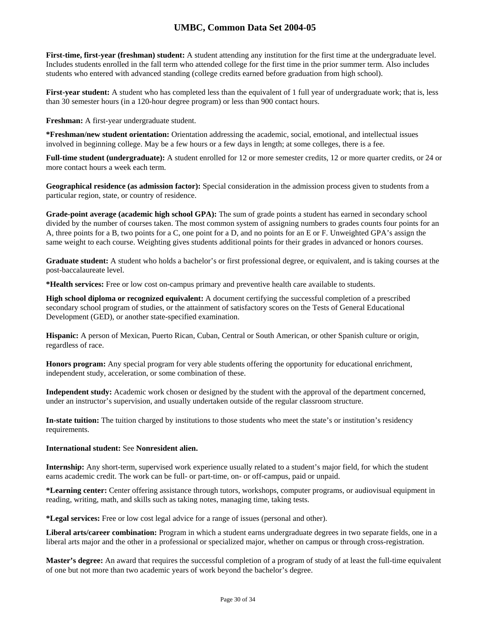**First-time, first-year (freshman) student:** A student attending any institution for the first time at the undergraduate level. Includes students enrolled in the fall term who attended college for the first time in the prior summer term. Also includes students who entered with advanced standing (college credits earned before graduation from high school).

**First-year student:** A student who has completed less than the equivalent of 1 full year of undergraduate work; that is, less than 30 semester hours (in a 120-hour degree program) or less than 900 contact hours.

**Freshman:** A first-year undergraduate student.

**\*Freshman/new student orientation:** Orientation addressing the academic, social, emotional, and intellectual issues involved in beginning college. May be a few hours or a few days in length; at some colleges, there is a fee.

**Full-time student (undergraduate):** A student enrolled for 12 or more semester credits, 12 or more quarter credits, or 24 or more contact hours a week each term.

**Geographical residence (as admission factor):** Special consideration in the admission process given to students from a particular region, state, or country of residence.

**Grade-point average (academic high school GPA):** The sum of grade points a student has earned in secondary school divided by the number of courses taken. The most common system of assigning numbers to grades counts four points for an A, three points for a B, two points for a C, one point for a D, and no points for an E or F. Unweighted GPA's assign the same weight to each course. Weighting gives students additional points for their grades in advanced or honors courses.

**Graduate student:** A student who holds a bachelor's or first professional degree, or equivalent, and is taking courses at the post-baccalaureate level.

**\*Health services:** Free or low cost on-campus primary and preventive health care available to students.

**High school diploma or recognized equivalent:** A document certifying the successful completion of a prescribed secondary school program of studies, or the attainment of satisfactory scores on the Tests of General Educational Development (GED), or another state-specified examination.

**Hispanic:** A person of Mexican, Puerto Rican, Cuban, Central or South American, or other Spanish culture or origin, regardless of race.

**Honors program:** Any special program for very able students offering the opportunity for educational enrichment, independent study, acceleration, or some combination of these.

**Independent study:** Academic work chosen or designed by the student with the approval of the department concerned, under an instructor's supervision, and usually undertaken outside of the regular classroom structure.

**In-state tuition:** The tuition charged by institutions to those students who meet the state's or institution's residency requirements.

### **International student:** See **Nonresident alien.**

**Internship:** Any short-term, supervised work experience usually related to a student's major field, for which the student earns academic credit. The work can be full- or part-time, on- or off-campus, paid or unpaid.

**\*Learning center:** Center offering assistance through tutors, workshops, computer programs, or audiovisual equipment in reading, writing, math, and skills such as taking notes, managing time, taking tests.

**\*Legal services:** Free or low cost legal advice for a range of issues (personal and other).

**Liberal arts/career combination:** Program in which a student earns undergraduate degrees in two separate fields, one in a liberal arts major and the other in a professional or specialized major, whether on campus or through cross-registration.

**Master's degree:** An award that requires the successful completion of a program of study of at least the full-time equivalent of one but not more than two academic years of work beyond the bachelor's degree.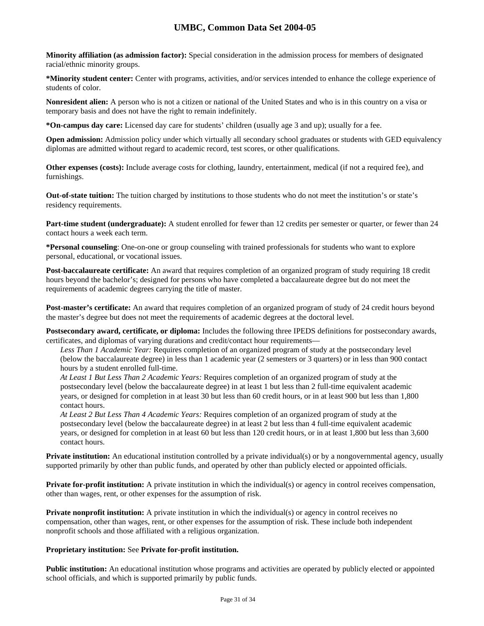**Minority affiliation (as admission factor):** Special consideration in the admission process for members of designated racial/ethnic minority groups.

**\*Minority student center:** Center with programs, activities, and/or services intended to enhance the college experience of students of color.

**Nonresident alien:** A person who is not a citizen or national of the United States and who is in this country on a visa or temporary basis and does not have the right to remain indefinitely.

**\*On-campus day care:** Licensed day care for students' children (usually age 3 and up); usually for a fee.

**Open admission:** Admission policy under which virtually all secondary school graduates or students with GED equivalency diplomas are admitted without regard to academic record, test scores, or other qualifications.

**Other expenses (costs):** Include average costs for clothing, laundry, entertainment, medical (if not a required fee), and furnishings.

**Out-of-state tuition:** The tuition charged by institutions to those students who do not meet the institution's or state's residency requirements.

**Part-time student (undergraduate):** A student enrolled for fewer than 12 credits per semester or quarter, or fewer than 24 contact hours a week each term.

**\*Personal counseling**: One-on-one or group counseling with trained professionals for students who want to explore personal, educational, or vocational issues.

**Post-baccalaureate certificate:** An award that requires completion of an organized program of study requiring 18 credit hours beyond the bachelor's; designed for persons who have completed a baccalaureate degree but do not meet the requirements of academic degrees carrying the title of master.

**Post-master's certificate:** An award that requires completion of an organized program of study of 24 credit hours beyond the master's degree but does not meet the requirements of academic degrees at the doctoral level.

**Postsecondary award, certificate, or diploma:** Includes the following three IPEDS definitions for postsecondary awards, certificates, and diplomas of varying durations and credit/contact hour requirements—

*Less Than 1 Academic Year:* Requires completion of an organized program of study at the postsecondary level (below the baccalaureate degree) in less than 1 academic year (2 semesters or 3 quarters) or in less than 900 contact hours by a student enrolled full-time.

*At Least 1 But Less Than 2 Academic Years:* Requires completion of an organized program of study at the postsecondary level (below the baccalaureate degree) in at least 1 but less than 2 full-time equivalent academic years, or designed for completion in at least 30 but less than 60 credit hours, or in at least 900 but less than 1,800 contact hours.

*At Least 2 But Less Than 4 Academic Years:* Requires completion of an organized program of study at the postsecondary level (below the baccalaureate degree) in at least 2 but less than 4 full-time equivalent academic years, or designed for completion in at least 60 but less than 120 credit hours, or in at least 1,800 but less than 3,600 contact hours.

**Private institution:** An educational institution controlled by a private individual(s) or by a nongovernmental agency, usually supported primarily by other than public funds, and operated by other than publicly elected or appointed officials.

**Private for-profit institution:** A private institution in which the individual(s) or agency in control receives compensation, other than wages, rent, or other expenses for the assumption of risk.

**Private nonprofit institution:** A private institution in which the individual(s) or agency in control receives no compensation, other than wages, rent, or other expenses for the assumption of risk. These include both independent nonprofit schools and those affiliated with a religious organization.

### **Proprietary institution:** See **Private for-profit institution.**

**Public institution:** An educational institution whose programs and activities are operated by publicly elected or appointed school officials, and which is supported primarily by public funds.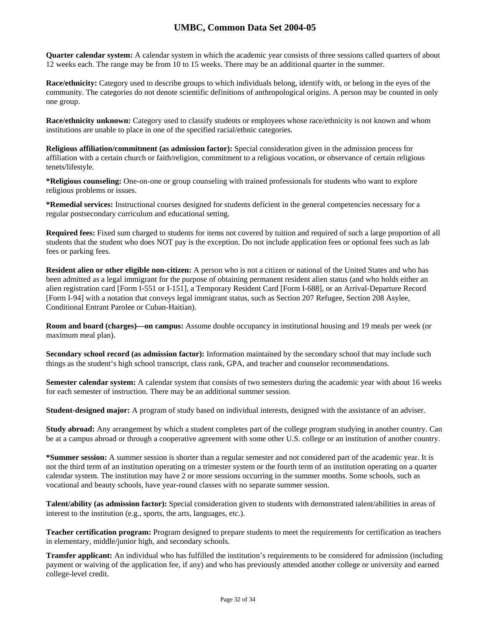**Quarter calendar system:** A calendar system in which the academic year consists of three sessions called quarters of about 12 weeks each. The range may be from 10 to 15 weeks. There may be an additional quarter in the summer.

**Race/ethnicity:** Category used to describe groups to which individuals belong, identify with, or belong in the eyes of the community. The categories do not denote scientific definitions of anthropological origins. A person may be counted in only one group.

**Race/ethnicity unknown:** Category used to classify students or employees whose race/ethnicity is not known and whom institutions are unable to place in one of the specified racial/ethnic categories.

**Religious affiliation/commitment (as admission factor):** Special consideration given in the admission process for affiliation with a certain church or faith/religion, commitment to a religious vocation, or observance of certain religious tenets/lifestyle.

**\*Religious counseling:** One-on-one or group counseling with trained professionals for students who want to explore religious problems or issues.

**\*Remedial services:** Instructional courses designed for students deficient in the general competencies necessary for a regular postsecondary curriculum and educational setting.

**Required fees:** Fixed sum charged to students for items not covered by tuition and required of such a large proportion of all students that the student who does NOT pay is the exception. Do not include application fees or optional fees such as lab fees or parking fees.

**Resident alien or other eligible non-citizen:** A person who is not a citizen or national of the United States and who has been admitted as a legal immigrant for the purpose of obtaining permanent resident alien status (and who holds either an alien registration card [Form I-551 or I-151], a Temporary Resident Card [Form I-688], or an Arrival-Departure Record [Form I-94] with a notation that conveys legal immigrant status, such as Section 207 Refugee, Section 208 Asylee, Conditional Entrant Parolee or Cuban-Haitian).

**Room and board (charges)—on campus:** Assume double occupancy in institutional housing and 19 meals per week (or maximum meal plan).

**Secondary school record (as admission factor):** Information maintained by the secondary school that may include such things as the student's high school transcript, class rank, GPA, and teacher and counselor recommendations.

**Semester calendar system:** A calendar system that consists of two semesters during the academic year with about 16 weeks for each semester of instruction. There may be an additional summer session.

**Student-designed major:** A program of study based on individual interests, designed with the assistance of an adviser.

**Study abroad:** Any arrangement by which a student completes part of the college program studying in another country. Can be at a campus abroad or through a cooperative agreement with some other U.S. college or an institution of another country.

**\*Summer session:** A summer session is shorter than a regular semester and not considered part of the academic year. It is not the third term of an institution operating on a trimester system or the fourth term of an institution operating on a quarter calendar system. The institution may have 2 or more sessions occurring in the summer months. Some schools, such as vocational and beauty schools, have year-round classes with no separate summer session.

**Talent/ability (as admission factor):** Special consideration given to students with demonstrated talent/abilities in areas of interest to the institution (e.g., sports, the arts, languages, etc.).

**Teacher certification program:** Program designed to prepare students to meet the requirements for certification as teachers in elementary, middle/junior high, and secondary schools.

**Transfer applicant:** An individual who has fulfilled the institution's requirements to be considered for admission (including payment or waiving of the application fee, if any) and who has previously attended another college or university and earned college-level credit.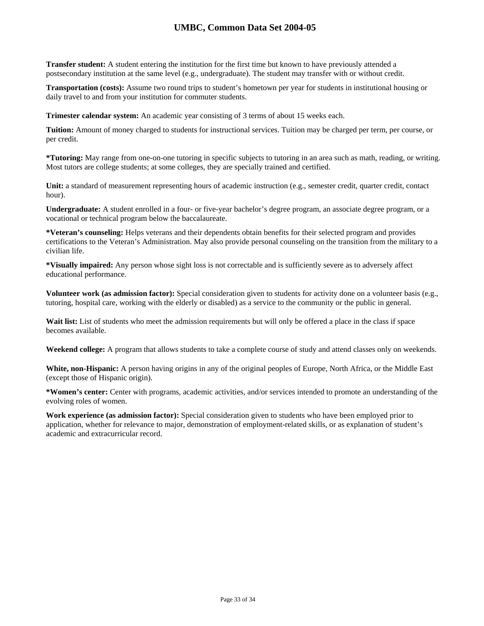**Transfer student:** A student entering the institution for the first time but known to have previously attended a postsecondary institution at the same level (e.g., undergraduate). The student may transfer with or without credit.

**Transportation (costs):** Assume two round trips to student's hometown per year for students in institutional housing or daily travel to and from your institution for commuter students.

**Trimester calendar system:** An academic year consisting of 3 terms of about 15 weeks each.

**Tuition:** Amount of money charged to students for instructional services. Tuition may be charged per term, per course, or per credit.

**\*Tutoring:** May range from one-on-one tutoring in specific subjects to tutoring in an area such as math, reading, or writing. Most tutors are college students; at some colleges, they are specially trained and certified.

**Unit:** a standard of measurement representing hours of academic instruction (e.g., semester credit, quarter credit, contact hour).

**Undergraduate:** A student enrolled in a four- or five-year bachelor's degree program, an associate degree program, or a vocational or technical program below the baccalaureate.

**\*Veteran's counseling:** Helps veterans and their dependents obtain benefits for their selected program and provides certifications to the Veteran's Administration. May also provide personal counseling on the transition from the military to a civilian life.

**\*Visually impaired:** Any person whose sight loss is not correctable and is sufficiently severe as to adversely affect educational performance.

**Volunteer work (as admission factor):** Special consideration given to students for activity done on a volunteer basis (e.g., tutoring, hospital care, working with the elderly or disabled) as a service to the community or the public in general.

Wait list: List of students who meet the admission requirements but will only be offered a place in the class if space becomes available.

**Weekend college:** A program that allows students to take a complete course of study and attend classes only on weekends.

**White, non-Hispanic:** A person having origins in any of the original peoples of Europe, North Africa, or the Middle East (except those of Hispanic origin).

**\*Women's center:** Center with programs, academic activities, and/or services intended to promote an understanding of the evolving roles of women.

**Work experience (as admission factor):** Special consideration given to students who have been employed prior to application, whether for relevance to major, demonstration of employment-related skills, or as explanation of student's academic and extracurricular record.